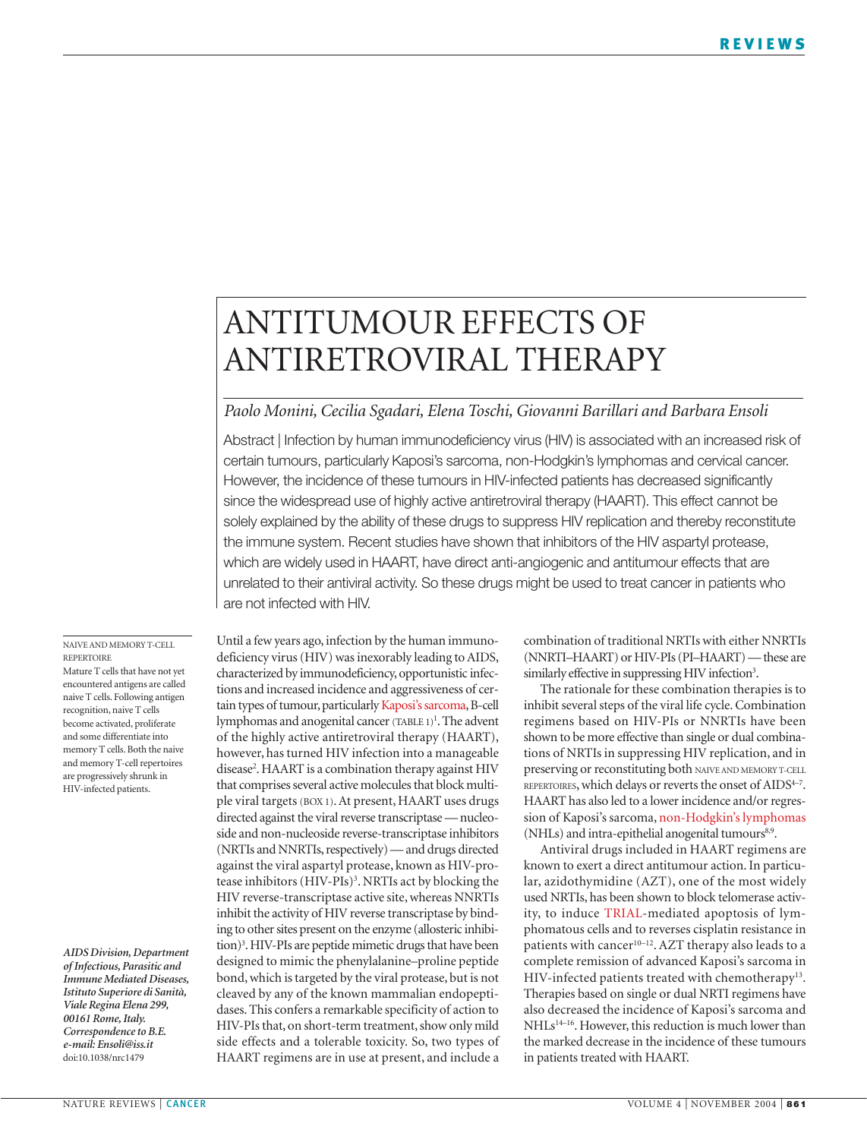# ANTITUMOUR EFFECTS OF ANTIRETROVIRAL THERAPY

# *Paolo Monini, Cecilia Sgadari, Elena Toschi, Giovanni Barillari and Barbara Ensoli*

Abstract | Infection by human immunodeficiency virus (HIV) is associated with an increased risk of certain tumours, particularly Kaposi's sarcoma, non-Hodgkin's lymphomas and cervical cancer. However, the incidence of these tumours in HIV-infected patients has decreased significantly since the widespread use of highly active antiretroviral therapy (HAART). This effect cannot be solely explained by the ability of these drugs to suppress HIV replication and thereby reconstitute the immune system. Recent studies have shown that inhibitors of the HIV aspartyl protease, which are widely used in HAART, have direct anti-angiogenic and antitumour effects that are unrelated to their antiviral activity. So these drugs might be used to treat cancer in patients who are not infected with HIV.

## NAIVE AND MEMORY T-CELL **REPERTOIRE** Mature T cells that have not yet encountered antigens are called naive T cells. Following antigen recognition, naive T cells become activated, proliferate and some differentiate into memory T cells. Both the naive and memory T-cell repertoires are progressively shrunk in HIV-infected patients.

*AIDS Division, Department of Infectious, Parasitic and Immune Mediated Diseases, Istituto Superiore di Sanità, Viale Regina Elena 299, 00161 Rome, Italy. Correspondence to B.E. e-mail: Ensoli@iss.it* doi:10.1038/nrc1479

Until a few years ago, infection by the human immunodeficiency virus (HIV) was inexorably leading to AIDS, characterized by immunodeficiency, opportunistic infections and increased incidence and aggressiveness of certain types of tumour, particularly Kaposi's sarcoma, B-cell lymphomas and anogenital cancer (TABLE 1)<sup>1</sup>. The advent of the highly active antiretroviral therapy (HAART), however, has turned HIV infection into a manageable disease2 .HAART is a combination therapy against HIV that comprises several active molecules that block multiple viral targets (BOX 1). At present, HAART uses drugs directed against the viral reverse transcriptase — nucleoside and non-nucleoside reverse-transcriptase inhibitors (NRTIs and NNRTIs, respectively) — and drugs directed against the viral aspartyl protease, known as HIV-protease inhibitors (HIV-PIs)<sup>3</sup>. NRTIs act by blocking the HIV reverse-transcriptase active site, whereas NNRTIs inhibit the activity of HIV reverse transcriptase by binding to other sites present on the enzyme (allosteric inhibition)<sup>3</sup>. HIV-PIs are peptide mimetic drugs that have been designed to mimic the phenylalanine–proline peptide bond, which is targeted by the viral protease, but is not cleaved by any of the known mammalian endopeptidases. This confers a remarkable specificity of action to HIV-PIs that, on short-term treatment, show only mild side effects and a tolerable toxicity. So, two types of HAART regimens are in use at present, and include a combination of traditional NRTIs with either NNRTIs (NNRTI–HAART) or HIV-PIs (PI–HAART) — these are similarly effective in suppressing HIV infection<sup>3</sup>.

The rationale for these combination therapies is to inhibit several steps of the viral life cycle. Combination regimens based on HIV-PIs or NNRTIs have been shown to be more effective than single or dual combinations of NRTIs in suppressing HIV replication, and in preserving or reconstituting both NAIVE AND MEMORY T-CELL REPERTOIRES, which delays or reverts the onset of AIDS<sup>4-7</sup>. HAART has also led to a lower incidence and/or regression of Kaposi's sarcoma, non-Hodgkin's lymphomas (NHLs) and intra-epithelial anogenital tumours<sup>8,9</sup>.

Antiviral drugs included in HAART regimens are known to exert a direct antitumour action. In particular, azidothymidine (AZT), one of the most widely used NRTIs, has been shown to block telomerase activity, to induce TRIAL-mediated apoptosis of lymphomatous cells and to reverses cisplatin resistance in patients with cancer<sup>10–12</sup>. AZT therapy also leads to a complete remission of advanced Kaposi's sarcoma in HIV-infected patients treated with chemotherapy<sup>13</sup>. Therapies based on single or dual NRTI regimens have also decreased the incidence of Kaposi's sarcoma and NHLs<sup>14-16</sup>. However, this reduction is much lower than the marked decrease in the incidence of these tumours in patients treated with HAART.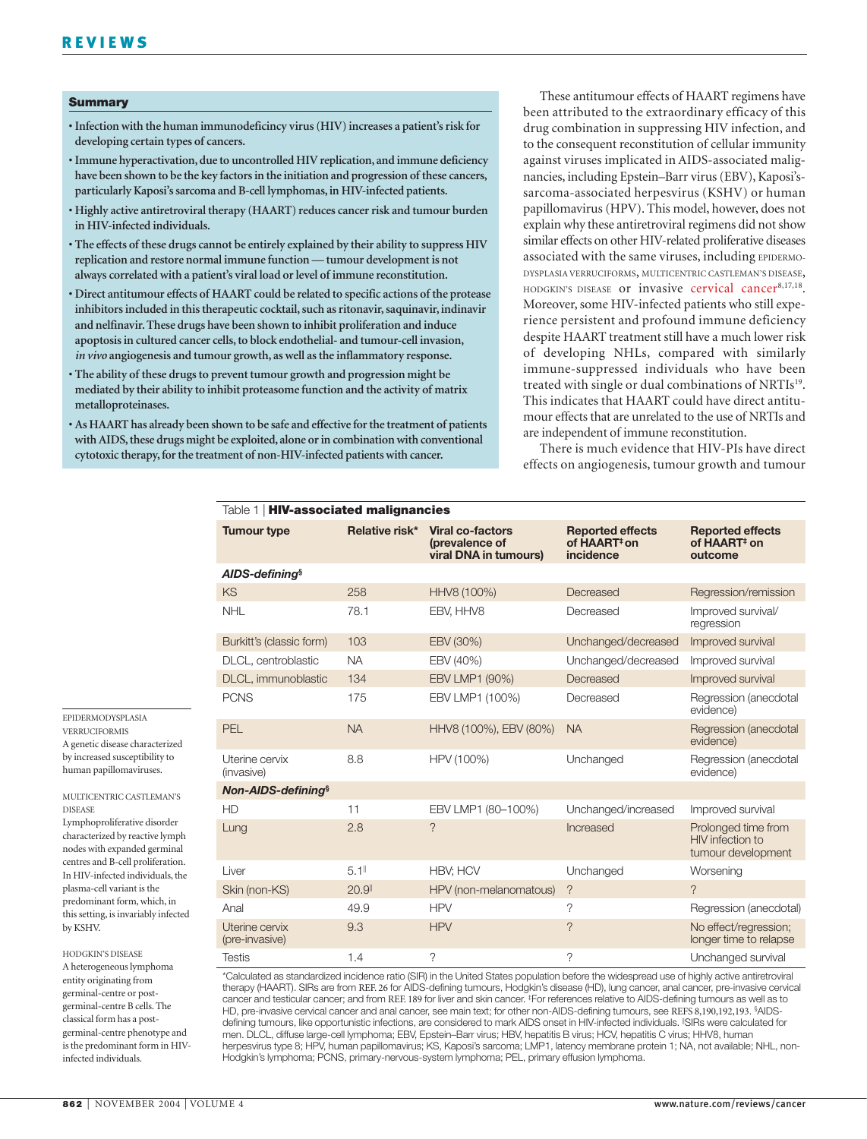# **Summary**

- **Infection with the human immunodeficincy virus (HIV) increases a patient's risk for developing certain types of cancers.**
- **Immune hyperactivation, due to uncontrolled HIV replication, and immune deficiency have been shown to be the key factors in the initiation and progression of these cancers, particularly Kaposi's sarcoma and B-cell lymphomas, in HIV-infected patients.**
- **Highly active antiretroviral therapy (HAART) reduces cancer risk and tumour burden in HIV-infected individuals.**
- **• The effects of these drugs cannot be entirely explained by their ability to suppress HIV replication and restore normal immune function — tumour development is not always correlated with a patient's viral load or level of immune reconstitution.**
- **Direct antitumour effects of HAART could be related to specific actions of the protease inhibitors included in this therapeutic cocktail, such as ritonavir, saquinavir, indinavir and nelfinavir. These drugs have been shown to inhibit proliferation and induce apoptosis in cultured cancer cells, to block endothelial- and tumour-cell invasion,** *in vivo* **angiogenesis and tumour growth, as well as the inflammatory response.**
- **• The ability of these drugs to prevent tumour growth and progression might be mediated by their ability to inhibit proteasome function and the activity of matrix metalloproteinases.**
- **As HAART has already been shown to be safe and effective for the treatment of patients with AIDS, these drugs might be exploited, alone or in combination with conventional cytotoxic therapy, for the treatment of non-HIV-infected patients with cancer.**

These antitumour effects of HAART regimens have been attributed to the extraordinary efficacy of this drug combination in suppressing HIV infection, and to the consequent reconstitution of cellular immunity against viruses implicated in AIDS-associated malignancies, including Epstein–Barr virus (EBV), Kaposi'ssarcoma-associated herpesvirus (KSHV) or human papillomavirus (HPV). This model, however, does not explain why these antiretroviral regimens did not show similar effects on other HIV-related proliferative diseases associated with the same viruses, including EPIDERMO-DYSPLASIA VERRUCIFORMS, MULTICENTRIC CASTLEMAN'S DISEASE, HODGKIN'S DISEASE Or invasive cervical cancer<sup>8,17,18</sup>. Moreover, some HIV-infected patients who still experience persistent and profound immune deficiency despite HAART treatment still have a much lower risk of developing NHLs, compared with similarly immune-suppressed individuals who have been treated with single or dual combinations of NRTIs<sup>19</sup>. This indicates that HAART could have direct antitumour effects that are unrelated to the use of NRTIs and are independent of immune reconstitution.

There is much evidence that HIV-PIs have direct effects on angiogenesis, tumour growth and tumour

| Table 1   HIV-associated malignancies |                |                                                                    |                                                                  |                                                                      |  |
|---------------------------------------|----------------|--------------------------------------------------------------------|------------------------------------------------------------------|----------------------------------------------------------------------|--|
| <b>Tumour type</b>                    | Relative risk* | <b>Viral co-factors</b><br>(prevalence of<br>viral DNA in tumours) | <b>Reported effects</b><br>of HAART <sup>‡</sup> on<br>incidence | <b>Reported effects</b><br>of HAART <sup>‡</sup> on<br>outcome       |  |
| AIDS-defining <sup>§</sup>            |                |                                                                    |                                                                  |                                                                      |  |
| KS                                    | 258            | HHV8 (100%)                                                        | Decreased                                                        | Regression/remission                                                 |  |
| <b>NHL</b>                            | 78.1           | EBV. HHV8                                                          | Decreased                                                        | Improved survival/<br>regression                                     |  |
| Burkitt's (classic form)              | 103            | EBV (30%)                                                          | Unchanged/decreased                                              | Improved survival                                                    |  |
| DLCL, centroblastic                   | <b>NA</b>      | EBV (40%)                                                          | Unchanged/decreased                                              | Improved survival                                                    |  |
| DLCL, immunoblastic                   | 134            | EBV LMP1 (90%)                                                     | Decreased                                                        | Improved survival                                                    |  |
| <b>PCNS</b>                           | 175            | EBV LMP1 (100%)                                                    | Decreased                                                        | Regression (anecdotal<br>evidence)                                   |  |
| PEL                                   | <b>NA</b>      | HHV8 (100%), EBV (80%)                                             | <b>NA</b>                                                        | Regression (anecdotal<br>evidence)                                   |  |
| Uterine cervix<br>(invasive)          | 8.8            | HPV (100%)                                                         | Unchanged                                                        | Regression (anecdotal<br>evidence)                                   |  |
| Non-AIDS-defining <sup>§</sup>        |                |                                                                    |                                                                  |                                                                      |  |
| HD                                    | 11             | EBV LMP1 (80-100%)                                                 | Unchanged/increased                                              | Improved survival                                                    |  |
| Lung                                  | 2.8            | $\overline{?}$                                                     | Increased                                                        | Prolonged time from<br><b>HIV</b> infection to<br>tumour development |  |
| Liver                                 | 5.1            | <b>HBV: HCV</b>                                                    | Unchanged                                                        | Worsening                                                            |  |
| Skin (non-KS)                         | 20.9           | HPV (non-melanomatous)                                             | $\overline{?}$                                                   | ?                                                                    |  |
| Anal                                  | 49.9           | <b>HPV</b>                                                         | ?                                                                | Regression (anecdotal)                                               |  |
| Uterine cervix<br>(pre-invasive)      | 9.3            | <b>HPV</b>                                                         | $\overline{?}$                                                   | No effect/regression;<br>longer time to relapse                      |  |
| <b>Testis</b>                         | 1.4            | ?                                                                  | ?                                                                | Unchanged survival                                                   |  |

\*Calculated as standardized incidence ratio (SIR) in the United States population before the widespread use of highly active antiretroviral therapy (HAART). SIRs are from REF. 26 for AIDS-defining tumours, Hodgkin's disease (HD), lung cancer, anal cancer, pre-invasive cervical cancer and testicular cancer; and from REF. 189 for liver and skin cancer. ‡ For references relative to AIDS-defining tumours as well as to HD, pre-invasive cervical cancer and anal cancer, see main text; for other non-AIDS-defining tumours, see REFS 8,190,192,193. § AIDSdefining tumours, like opportunistic infections, are considered to mark AIDS onset in HIV-infected individuals. <sup>II</sup>SIRs were calculated for men. DLCL, diffuse large-cell lymphoma; EBV, Epstein–Barr virus; HBV, hepatitis B virus; HCV, hepatitis C virus; HHV8, human herpesvirus type 8; HPV, human papillomavirus; KS, Kaposi's sarcoma; LMP1, latency membrane protein 1; NA, not available; NHL, non-Hodgkin's lymphoma; PCNS, primary-nervous-system lymphoma; PEL, primary effusion lymphoma.

EPIDERMODYSPLASIA **VERRUCIFORMIS** A genetic disease characterized by increased susceptibility to human papillomaviruses.

MULTICENTRIC CASTLEMAN'S DISEASE Lymphoproliferative disorder characterized by reactive lymph

nodes with expanded germinal centres and B-cell proliferation. In HIV-infected individuals, the plasma-cell variant is the predominant form, which, in this setting, is invariably infected by KSHV.

HODGKIN'S DISEASE A heterogeneous lymphoma entity originating from germinal-centre or postgerminal-centre B cells. The classical form has a postgerminal-centre phenotype and is the predominant form in HIVinfected individuals.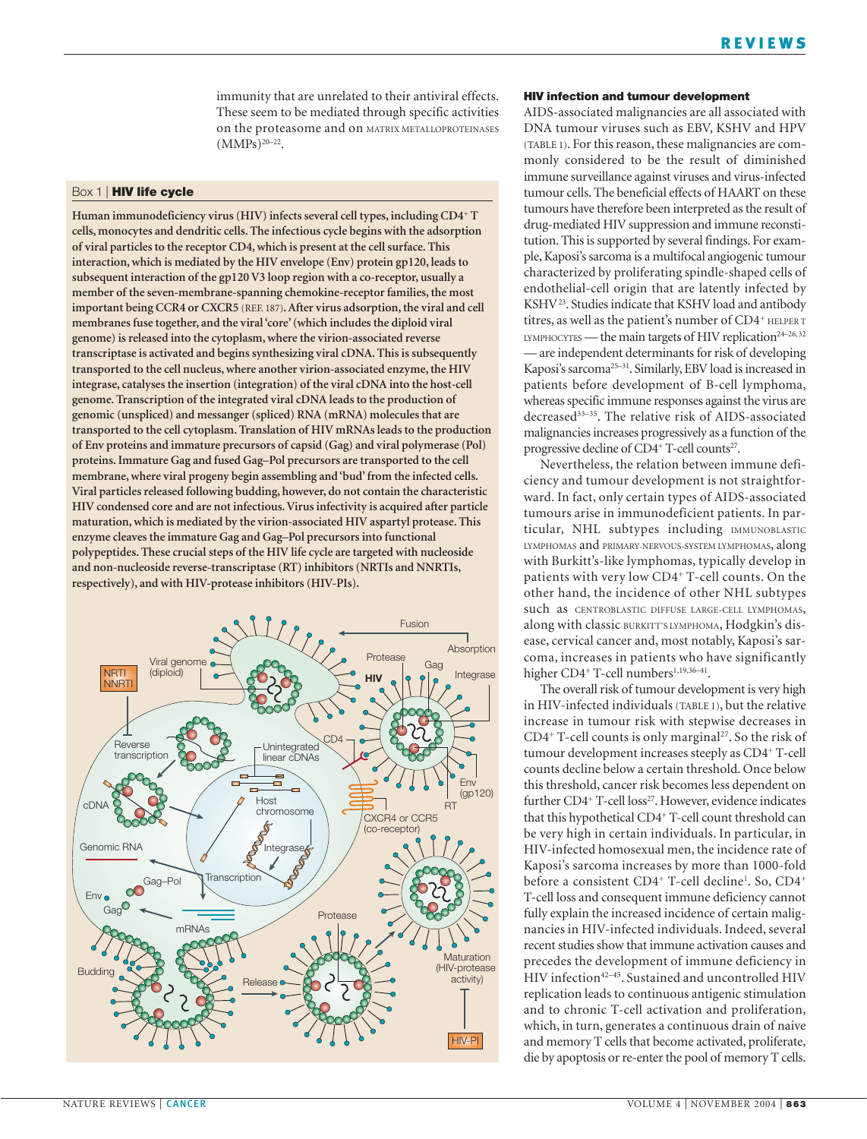immunity that are unrelated to their antiviral effects. These seem to be mediated through specific activities on the proteasome and on MATRIX METALLOPROTEINASES  $(MMPs)^{20-22}$ .

## Box 1 | **HIV life cycle**

**Human immunodeficiency virus (HIV) infects several cell types, including CD4+ T cells, monocytes and dendritic cells. The infectious cycle begins with the adsorption of viral particles to the receptor CD4, which is present at the cell surface. This interaction, which is mediated by the HIV envelope (Env) protein gp120, leads to subsequent interaction of the gp120 V3 loop region with a co-receptor, usually a member of the seven-membrane-spanning chemokine-receptor families, the most important being CCR4 or CXCR5** (REF. 187)**. After virus adsorption, the viral and cell membranes fuse together, and the viral 'core' (which includes the diploid viral genome) is released into the cytoplasm, where the virion-associated reverse transcriptase is activated and begins synthesizing viral cDNA. This is subsequently transported to the cell nucleus, where another virion-associated enzyme, the HIV integrase, catalyses the insertion (integration) of the viral cDNA into the host-cell genome. Transcription of the integrated viral cDNA leads to the production of genomic (unspliced) and messanger (spliced) RNA (mRNA) molecules that are transported to the cell cytoplasm. Translation of HIV mRNAs leads to the production of Env proteins and immature precursors of capsid (Gag) and viral polymerase (Pol) proteins. Immature Gag and fused Gag–Pol precursors are transported to the cell membrane, where viral progeny begin assembling and 'bud' from the infected cells. Viral particles released following budding, however, do not contain the characteristic HIV condensed core and are not infectious. Virus infectivity is acquired after particle maturation, which is mediated by the virion-associated HIV aspartyl protease. This enzyme cleaves the immature Gag and Gag–Pol precursors into functional polypeptides. These crucial steps of the HIV life cycle are targeted with nucleoside and non-nucleoside reverse-transcriptase (RT) inhibitors (NRTIs and NNRTIs, respectively), and with HIV-protease inhibitors (HIV-PIs).**



# **HIV infection and tumour development**

AIDS-associated malignancies are all associated with DNA tumour viruses such as EBV, KSHV and HPV (TABLE 1). For this reason, these malignancies are commonly considered to be the result of diminished immune surveillance against viruses and virus-infected tumour cells. The beneficial effects of HAART on these tumours have therefore been interpreted as the result of drug-mediated HIV suppression and immune reconstitution. This is supported by several findings. For example, Kaposi's sarcoma is a multifocal angiogenic tumour characterized by proliferating spindle-shaped cells of endothelial-cell origin that are latently infected by KSHV<sup>23</sup>. Studies indicate that KSHV load and antibody titres, as well as the patient's number of CD4<sup>+</sup> HELPER T LYMPHOCYTES — the main targets of HIV replication<sup>24-26, 32</sup> — are independent determinants for risk of developing Kaposi's sarcoma25–31. Similarly, EBV load is increased in patients before development of B-cell lymphoma, whereas specific immune responses against the virus are decreased<sup>33-35</sup>. The relative risk of AIDS-associated malignancies increases progressively as a function of the progressive decline of CD4+ T-cell counts<sup>27</sup>.

Nevertheless, the relation between immune deficiency and tumour development is not straightforward. In fact, only certain types of AIDS-associated tumours arise in immunodeficient patients. In particular, NHL subtypes including IMMUNOBLASTIC LYMPHOMAS and PRIMARY-NERVOUS-SYSTEM LYMPHOMAS, along with Burkitt's-like lymphomas, typically develop in patients with very low CD4+ T-cell counts. On the other hand, the incidence of other NHL subtypes such as CENTROBLASTIC DIFFUSE LARGE-CELL LYMPHOMAS, along with classic BURKITT'S LYMPHOMA, Hodgkin's disease, cervical cancer and, most notably, Kaposi's sarcoma, increases in patients who have significantly higher CD4+ T-cell numbers<sup>1,19,36-41</sup>.

The overall risk of tumour development is very high in HIV-infected individuals (TABLE 1), but the relative increase in tumour risk with stepwise decreases in CD4+ T-cell counts is only marginal27. So the risk of tumour development increases steeply as CD4+ T-cell counts decline below a certain threshold. Once below this threshold, cancer risk becomes less dependent on further CD4+ T-cell loss<sup>27</sup>. However, evidence indicates that this hypothetical CD4<sup>+</sup> T-cell count threshold can be very high in certain individuals. In particular, in HIV-infected homosexual men, the incidence rate of Kaposi's sarcoma increases by more than 1000-fold before a consistent CD4+ T-cell decline<sup>1</sup>. So, CD4+ T-cell loss and consequent immune deficiency cannot fully explain the increased incidence of certain malignancies in HIV-infected individuals. Indeed, several recent studies show that immune activation causes and precedes the development of immune deficiency in HIV infection<sup>42-45</sup>. Sustained and uncontrolled HIV replication leads to continuous antigenic stimulation and to chronic T-cell activation and proliferation, which, in turn, generates a continuous drain of naive and memory T cells that become activated, proliferate, die by apoptosis or re-enter the pool of memory T cells.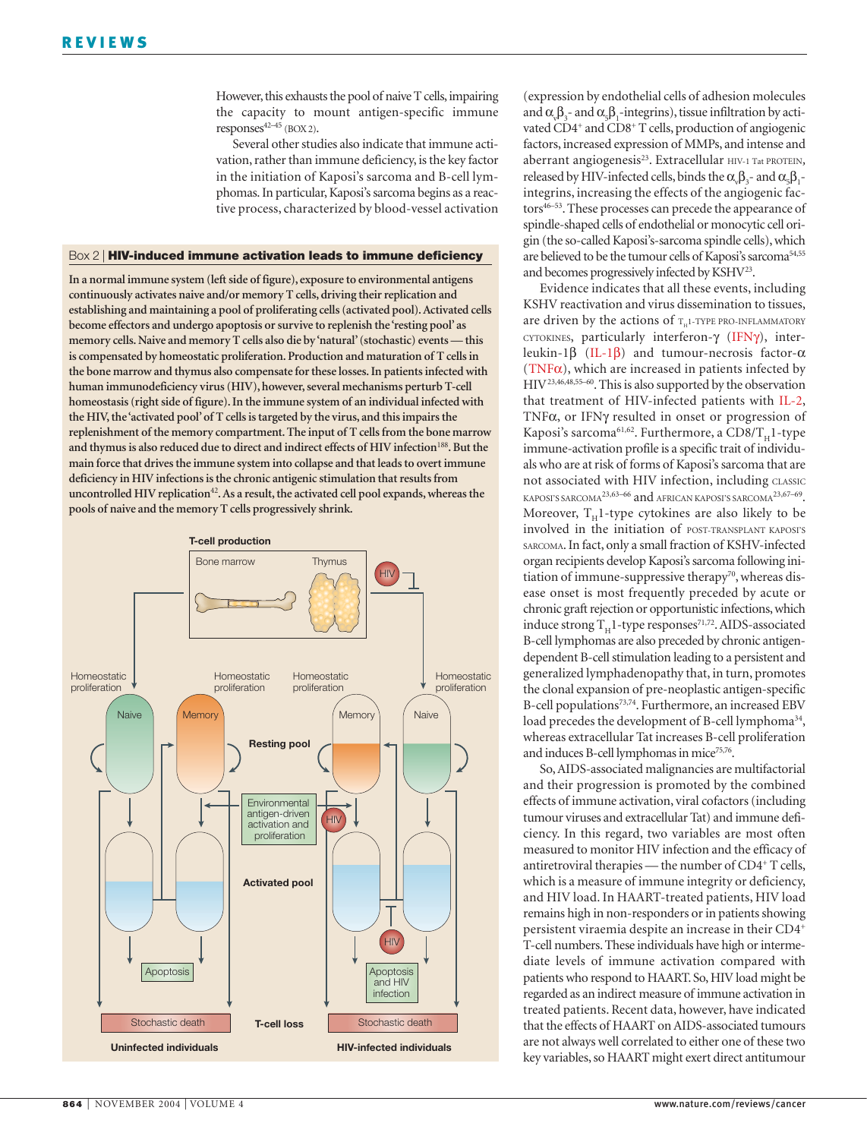However, this exhausts the pool of naive T cells, impairing the capacity to mount antigen-specific immune responses $42-45$  (BOX 2).

Several other studies also indicate that immune activation, rather than immune deficiency, is the key factor in the initiation of Kaposi's sarcoma and B-cell lymphomas. In particular, Kaposi's sarcoma begins as a reactive process, characterized by blood-vessel activation

## Box 2 | **HIV-induced immune activation leads to immune deficiency**

**In a normal immune system (left side of figure), exposure to environmental antigens continuously activates naive and/or memory T cells, driving their replication and establishing and maintaining a pool of proliferating cells (activated pool). Activated cells become effectors and undergo apoptosis or survive to replenish the 'resting pool' as memory cells. Naive and memory T cells also die by 'natural' (stochastic) events — this is compensated by homeostatic proliferation. Production and maturation of T cells in the bone marrow and thymus also compensate for these losses. In patients infected with human immunodeficiency virus (HIV), however, several mechanisms perturb T-cell homeostasis (right side of figure). In the immune system of an individual infected with the HIV, the 'activated pool' of T cells is targeted by the virus, and this impairs the replenishment of the memory compartment. The input of T cells from the bone marrow and thymus is also reduced due to direct and indirect effects of HIV infection**<sup>188</sup>**. But the main force that drives the immune system into collapse and that leads to overt immune deficiency in HIV infections is the chronic antigenic stimulation that results from uncontrolled HIV replication**<sup>42</sup>**. As a result, the activated cell pool expands, whereas the pools of naive and the memory T cells progressively shrink.**



(expression by endothelial cells of adhesion molecules and  $\alpha_{\gamma}\beta_{3}$ - and  $\alpha_{5}\beta_{1}$ -integrins), tissue infiltration by activated CD4<sup>+</sup> and CD8<sup>+</sup> T cells, production of angiogenic factors, increased expression of MMPs, and intense and aberrant angiogenesis23. Extracellular HIV-1 Tat PROTEIN*,* released by HIV-infected cells, binds the  $\alpha_{\rm v}\beta_{\rm 3}$ - and  $\alpha_{\rm 5}\beta_{\rm 1}$ integrins, increasing the effects of the angiogenic factors<sup>46–53</sup>. These processes can precede the appearance of spindle-shaped cells of endothelial or monocytic cell origin (the so-called Kaposi's-sarcoma spindle cells), which are believed to be the tumour cells of Kaposi's sarcoma<sup>54,55</sup> and becomes progressively infected by KSHV<sup>23</sup>.

Evidence indicates that all these events, including KSHV reactivation and virus dissemination to tissues, are driven by the actions of  $T_H1$ -TYPE PRO-INFLAMMATORY CYTOKINES, particularly interferon-γ (IFNγ), interleukin-1β (IL-1β) and tumour-necrosis factor-α (TNF $\alpha$ ), which are increased in patients infected by HIV23,46,48,55–60. This is also supported by the observation that treatment of HIV-infected patients with IL-2, TNFα, or IFNγ resulted in onset or progression of Kaposi's sarcoma<sup>61,62</sup>. Furthermore, a CD8/T<sub>H</sub>1-type immune-activation profile is a specific trait of individuals who are at risk of forms of Kaposi's sarcoma that are not associated with HIV infection, including CLASSIC KAPOSI'S SARCOMA<sup>23,63–66</sup> and AFRICAN KAPOSI'S SARCOMA<sup>23,67–69</sup>. Moreover,  $T_H$ 1-type cytokines are also likely to be involved in the initiation of POST-TRANSPLANT KAPOSI'S SARCOMA. In fact, only a small fraction of KSHV-infected organ recipients develop Kaposi's sarcoma following initiation of immune-suppressive therapy<sup>70</sup>, whereas disease onset is most frequently preceded by acute or chronic graft rejection or opportunistic infections, which induce strong  $T<sub>u</sub>1$ -type responses<sup>71,72</sup>. AIDS-associated B-cell lymphomas are also preceded by chronic antigendependent B-cell stimulation leading to a persistent and generalized lymphadenopathy that, in turn, promotes the clonal expansion of pre-neoplastic antigen-specific B-cell populations<sup>73,74</sup>. Furthermore, an increased EBV load precedes the development of B-cell lymphoma<sup>34</sup>, whereas extracellular Tat increases B-cell proliferation and induces B-cell lymphomas in mice<sup>75,76</sup>.

So, AIDS-associated malignancies are multifactorial and their progression is promoted by the combined effects of immune activation, viral cofactors (including tumour viruses and extracellular Tat) and immune deficiency. In this regard, two variables are most often measured to monitor HIV infection and the efficacy of antiretroviral therapies — the number of CD4+ T cells, which is a measure of immune integrity or deficiency, and HIV load. In HAART-treated patients, HIV load remains high in non-responders or in patients showing persistent viraemia despite an increase in their CD4+ T-cell numbers. These individuals have high or intermediate levels of immune activation compared with patients who respond to HAART. So, HIV load might be regarded as an indirect measure of immune activation in treated patients. Recent data, however, have indicated that the effects of HAART on AIDS-associated tumours are not always well correlated to either one of these two key variables, so HAART might exert direct antitumour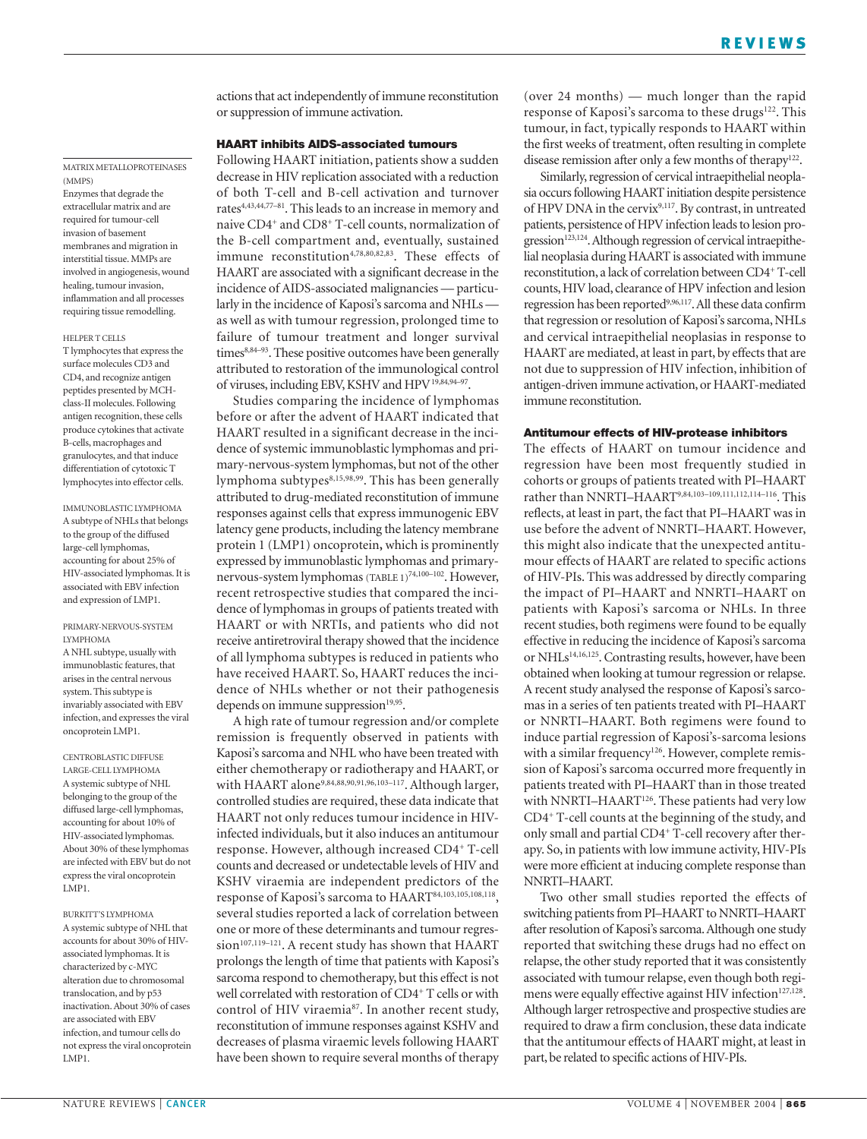actions that act independently of immune reconstitution or suppression of immune activation.

# **HAART inhibits AIDS-associated tumours**

Following HAART initiation, patients show a sudden decrease in HIV replication associated with a reduction of both T-cell and B-cell activation and turnover rates4,43,44,77–81. This leads to an increase in memory and naive CD4+ and CD8+ T-cell counts, normalization of the B-cell compartment and, eventually, sustained immune reconstitution<sup>4,78,80,82,83</sup>. These effects of HAART are associated with a significant decrease in the incidence of AIDS-associated malignancies — particularly in the incidence of Kaposi's sarcoma and NHLs as well as with tumour regression, prolonged time to failure of tumour treatment and longer survival  $times^{8,84-93}$ . These positive outcomes have been generally attributed to restoration of the immunological control of viruses, including EBV, KSHV and HPV<sup>19,84,94-97</sup>.

Studies comparing the incidence of lymphomas before or after the advent of HAART indicated that HAART resulted in a significant decrease in the incidence of systemic immunoblastic lymphomas and primary-nervous-system lymphomas, but not of the other lymphoma subtypes $8,15,98,99$ . This has been generally attributed to drug-mediated reconstitution of immune responses against cells that express immunogenic EBV latency gene products, including the latency membrane protein 1 (LMP1) oncoprotein**,** which is prominently expressed by immunoblastic lymphomas and primarynervous-system lymphomas (TABLE 1)<sup>74,100-102</sup>. However, recent retrospective studies that compared the incidence of lymphomas in groups of patients treated with HAART or with NRTIs, and patients who did not receive antiretroviral therapy showed that the incidence of all lymphoma subtypes is reduced in patients who have received HAART. So, HAART reduces the incidence of NHLs whether or not their pathogenesis depends on immune suppression $19,95$ .

A high rate of tumour regression and/or complete remission is frequently observed in patients with Kaposi's sarcoma and NHL who have been treated with either chemotherapy or radiotherapy and HAART, or with HAART alone<sup>9,84,88,90,91,96,103-117</sup>. Although larger, controlled studies are required, these data indicate that HAART not only reduces tumour incidence in HIVinfected individuals, but it also induces an antitumour response. However, although increased CD4+ T-cell counts and decreased or undetectable levels of HIV and KSHV viraemia are independent predictors of the response of Kaposi's sarcoma to HAART84,103,105,108,118, several studies reported a lack of correlation between one or more of these determinants and tumour regres $sion^{107,119-121}$ . A recent study has shown that HAART prolongs the length of time that patients with Kaposi's sarcoma respond to chemotherapy, but this effect is not well correlated with restoration of CD4<sup>+</sup> T cells or with control of HIV viraemia<sup>87</sup>. In another recent study, reconstitution of immune responses against KSHV and decreases of plasma viraemic levels following HAART have been shown to require several months of therapy (over 24 months) — much longer than the rapid response of Kaposi's sarcoma to these drugs<sup>122</sup>. This tumour, in fact, typically responds to HAART within the first weeks of treatment, often resulting in complete disease remission after only a few months of therapy<sup>122</sup>.

Similarly, regression of cervical intraepithelial neoplasia occurs following HAART initiation despite persistence of HPV DNA in the cervix9,117. By contrast, in untreated patients, persistence of HPV infection leads to lesion progression<sup>123,124</sup>. Although regression of cervical intraepithelial neoplasia during HAART is associated with immune reconstitution, a lack of correlation between CD4+ T-cell counts, HIV load, clearance of HPV infection and lesion regression has been reported<sup>9,96,117</sup>. All these data confirm that regression or resolution of Kaposi's sarcoma, NHLs and cervical intraepithelial neoplasias in response to HAART are mediated, at least in part, by effects that are not due to suppression of HIV infection, inhibition of antigen-driven immune activation, or HAART-mediated immune reconstitution.

## **Antitumour effects of HIV-protease inhibitors**

The effects of HAART on tumour incidence and regression have been most frequently studied in cohorts or groups of patients treated with PI–HAART rather than NNRTI–HAART9,84,103–109,111,112,114–116. This reflects, at least in part, the fact that PI–HAART was in use before the advent of NNRTI–HAART. However, this might also indicate that the unexpected antitumour effects of HAART are related to specific actions of HIV-PIs. This was addressed by directly comparing the impact of PI–HAART and NNRTI–HAART on patients with Kaposi's sarcoma or NHLs. In three recent studies, both regimens were found to be equally effective in reducing the incidence of Kaposi's sarcoma or NHLs<sup>14,16,125</sup>. Contrasting results, however, have been obtained when looking at tumour regression or relapse. A recent study analysed the response of Kaposi's sarcomas in a series of ten patients treated with PI–HAART or NNRTI–HAART. Both regimens were found to induce partial regression of Kaposi's-sarcoma lesions with a similar frequency<sup>126</sup>. However, complete remission of Kaposi's sarcoma occurred more frequently in patients treated with PI–HAART than in those treated with NNRTI–HAART<sup>126</sup>. These patients had very low CD4+ T-cell counts at the beginning of the study, and only small and partial CD4<sup>+</sup> T-cell recovery after therapy. So, in patients with low immune activity, HIV-PIs were more efficient at inducing complete response than NNRTI–HAART.

Two other small studies reported the effects of switching patients from PI–HAART to NNRTI–HAART after resolution of Kaposi's sarcoma.Although one study reported that switching these drugs had no effect on relapse, the other study reported that it was consistently associated with tumour relapse, even though both regimens were equally effective against HIV infection<sup>127,128</sup>. Although larger retrospective and prospective studies are required to draw a firm conclusion, these data indicate that the antitumour effects of HAART might, at least in part, be related to specific actions of HIV-PIs.

MATRIX METALLOPROTEINASES (MMPS) Enzymes that degrade the extracellular matrix and are required for tumour-cell invasion of basement membranes and migration in interstitial tissue. MMPs are involved in angiogenesis, wound healing, tumour invasion, inflammation and all processes requiring tissue remodelling.

#### HELPER T CELLS

T lymphocytes that express the surface molecules CD3 and CD4, and recognize antigen peptides presented by MCHclass-II molecules. Following antigen recognition, these cells produce cytokines that activate B-cells, macrophages and granulocytes, and that induce differentiation of cytotoxic T lymphocytes into effector cells.

IMMUNOBLASTIC LYMPHOMA A subtype of NHLs that belongs to the group of the diffused large-cell lymphomas, accounting for about 25% of HIV-associated lymphomas. It is associated with EBV infection and expression of LMP1.

#### PRIMARY-NERVOUS-SYSTEM LYMPHOMA

A NHL subtype, usually with immunoblastic features, that arises in the central nervous system. This subtype is invariably associated with EBV infection, and expresses the viral oncoprotein LMP1.

CENTROBLASTIC DIFFUSE LARGE-CELL LYMPHOMA A systemic subtype of NHL belonging to the group of the diffused large-cell lymphomas, accounting for about 10% of HIV-associated lymphomas. About 30% of these lymphomas are infected with EBV but do not express the viral oncoprotein LMP1.

BURKITT'S LYMPHOMA A systemic subtype of NHL that accounts for about 30% of HIVassociated lymphomas. It is characterized by c-MYC alteration due to chromosomal translocation, and by p53 inactivation. About 30% of cases are associated with EBV infection, and tumour cells do not express the viral oncoprotein LMP1.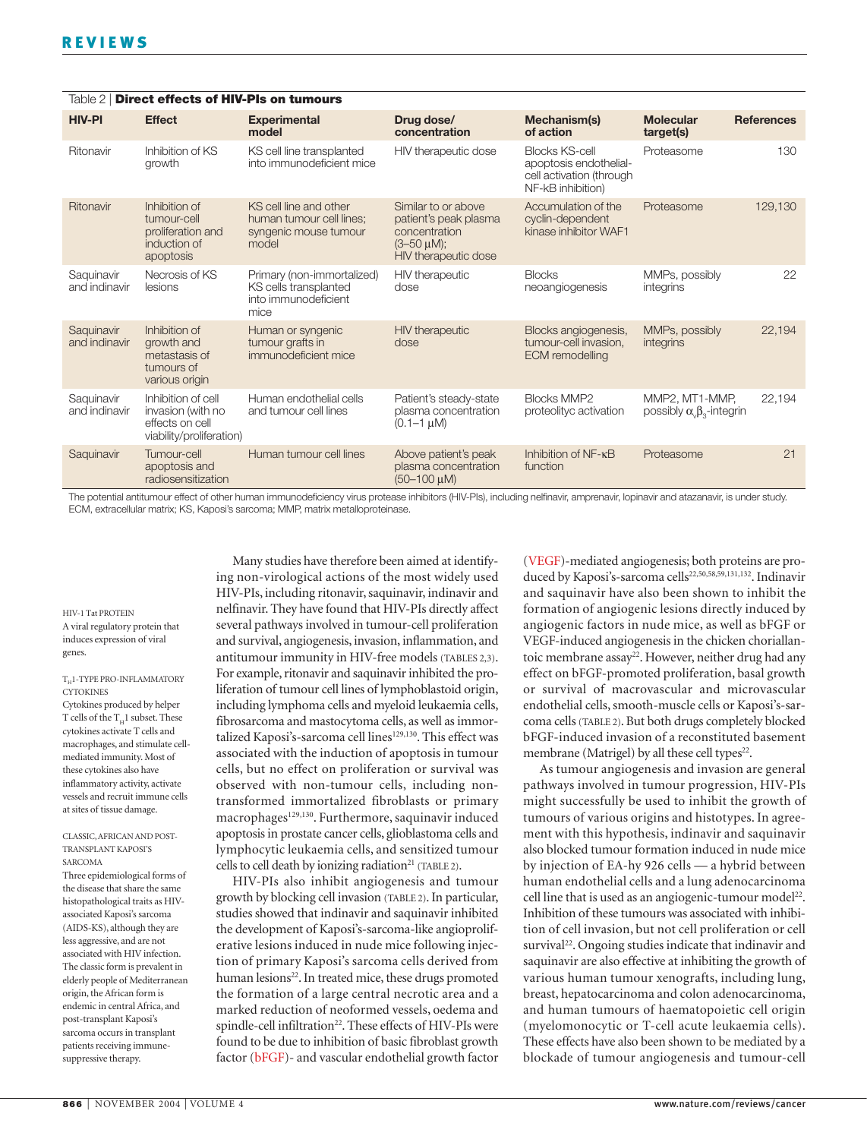| <b>Direct effects of HIV-PIs on tumours</b><br>Table 2 I |                                                                                        |                                                                                      |                                                                                                            |                                                                                                  |                                                       |                   |
|----------------------------------------------------------|----------------------------------------------------------------------------------------|--------------------------------------------------------------------------------------|------------------------------------------------------------------------------------------------------------|--------------------------------------------------------------------------------------------------|-------------------------------------------------------|-------------------|
| <b>HIV-PI</b>                                            | <b>Effect</b>                                                                          | <b>Experimental</b><br>model                                                         | Drug dose/<br>concentration                                                                                | Mechanism(s)<br>of action                                                                        | <b>Molecular</b><br>target(s)                         | <b>References</b> |
| Ritonavir                                                | Inhibition of KS<br>growth                                                             | KS cell line transplanted<br>into immunodeficient mice                               | HIV therapeutic dose                                                                                       | <b>Blocks KS-cell</b><br>apoptosis endothelial-<br>cell activation (through<br>NF-kB inhibition) | Proteasome                                            | 130               |
| Ritonavir                                                | Inhibition of<br>tumour-cell<br>proliferation and<br>induction of<br>apoptosis         | KS cell line and other<br>human tumour cell lines;<br>syngenic mouse tumour<br>model | Similar to or above<br>patient's peak plasma<br>concentration<br>$(3 - 50 \mu M);$<br>HIV therapeutic dose | Accumulation of the<br>cyclin-dependent<br>kinase inhibitor WAF1                                 | Proteasome                                            | 129,130           |
| Saguinavir<br>and indinavir                              | Necrosis of KS<br>lesions                                                              | Primary (non-immortalized)<br>KS cells transplanted<br>into immunodeficient<br>mice  | HIV therapeutic<br>dose                                                                                    | <b>Blocks</b><br>neoangiogenesis                                                                 | MMPs, possibly<br>integrins                           | 22                |
| Saguinavir<br>and indinavir                              | Inhibition of<br>growth and<br>metastasis of<br>tumours of<br>various origin           | Human or syngenic<br>tumour grafts in<br>immunodeficient mice                        | <b>HIV</b> therapeutic<br>dose                                                                             | Blocks angiogenesis,<br>tumour-cell invasion,<br><b>ECM</b> remodelling                          | MMPs, possibly<br>integrins                           | 22,194            |
| Saquinavir<br>and indinavir                              | Inhibition of cell<br>invasion (with no<br>effects on cell<br>viability/proliferation) | Human endothelial cells<br>and tumour cell lines                                     | Patient's steady-state<br>plasma concentration<br>$(0.1 - 1 \mu M)$                                        | <b>Blocks MMP2</b><br>proteolityc activation                                                     | MMP2, MT1-MMP,<br>possibly $\alpha, \beta$ , integrin | 22,194            |
| Saquinavir                                               | Tumour-cell<br>apoptosis and<br>radiosensitization                                     | Human tumour cell lines                                                              | Above patient's peak<br>plasma concentration<br>$(50-100 \mu M)$                                           | Inhibition of NF-KB<br>function                                                                  | Proteasome                                            | 21                |

The potential antitumour effect of other human immunodeficiency virus protease inhibitors (HIV-PIs), including nelfinavir, amprenavir, lopinavir and atazanavir, is under study. ECM, extracellular matrix; KS, Kaposi's sarcoma; MMP, matrix metalloproteinase.

HIV-1 Tat PROTEIN A viral regulatory protein that induces expression of viral genes.

## T 1-TYPE PRO-INFLAMMATORY **CYTOKINES**

Cytokines produced by helper T cells of the  $T<sub>u</sub>1$  subset. These cytokines activate T cells and macrophages, and stimulate cellmediated immunity. Most of these cytokines also have inflammatory activity, activate vessels and recruit immune cells at sites of tissue damage.

#### CLASSIC, AFRICAN AND POST-TRANSPLANT KAPOSI'S SARCOMA

Three epidemiological forms of the disease that share the same histopathological traits as HIVassociated Kaposi's sarcoma (AIDS-KS), although they are less aggressive, and are not associated with HIV infection. The classic form is prevalent in elderly people of Mediterranean origin, the African form is endemic in central Africa, and post-transplant Kaposi's sarcoma occurs in transplant patients receiving immunesuppressive therapy.

Many studies have therefore been aimed at identifying non-virological actions of the most widely used HIV-PIs, including ritonavir, saquinavir, indinavir and nelfinavir. They have found that HIV-PIs directly affect several pathways involved in tumour-cell proliferation and survival, angiogenesis, invasion, inflammation, and antitumour immunity in HIV-free models (TABLES 2,3). For example, ritonavir and saquinavir inhibited the proliferation of tumour cell lines of lymphoblastoid origin, including lymphoma cells and myeloid leukaemia cells, fibrosarcoma and mastocytoma cells, as well as immortalized Kaposi's-sarcoma cell lines<sup>129,130</sup>. This effect was associated with the induction of apoptosis in tumour cells, but no effect on proliferation or survival was observed with non-tumour cells, including nontransformed immortalized fibroblasts or primary macrophages<sup>129,130</sup>. Furthermore, saquinavir induced apoptosis in prostate cancer cells, glioblastoma cells and lymphocytic leukaemia cells, and sensitized tumour cells to cell death by ionizing radiation<sup>21</sup> (TABLE 2).

HIV-PIs also inhibit angiogenesis and tumour growth by blocking cell invasion (TABLE 2). In particular, studies showed that indinavir and saquinavir inhibited the development of Kaposi's-sarcoma-like angioproliferative lesions induced in nude mice following injection of primary Kaposi's sarcoma cells derived from human lesions<sup>22</sup>. In treated mice, these drugs promoted the formation of a large central necrotic area and a marked reduction of neoformed vessels, oedema and spindle-cell infiltration<sup>22</sup>. These effects of HIV-PIs were found to be due to inhibition of basic fibroblast growth factor (bFGF)- and vascular endothelial growth factor

(VEGF)-mediated angiogenesis; both proteins are produced by Kaposi's-sarcoma cells<sup>22,50,58,59,131,132</sup>. Indinavir and saquinavir have also been shown to inhibit the formation of angiogenic lesions directly induced by angiogenic factors in nude mice, as well as bFGF or VEGF-induced angiogenesis in the chicken choriallantoic membrane assay<sup>22</sup>. However, neither drug had any effect on bFGF-promoted proliferation, basal growth or survival of macrovascular and microvascular endothelial cells, smooth-muscle cells or Kaposi's-sarcoma cells (TABLE 2). But both drugs completely blocked bFGF-induced invasion of a reconstituted basement membrane (Matrigel) by all these cell types<sup>22</sup>.

As tumour angiogenesis and invasion are general pathways involved in tumour progression, HIV-PIs might successfully be used to inhibit the growth of tumours of various origins and histotypes. In agreement with this hypothesis, indinavir and saquinavir also blocked tumour formation induced in nude mice by injection of EA-hy 926 cells — a hybrid between human endothelial cells and a lung adenocarcinoma cell line that is used as an angiogenic-tumour model<sup>22</sup>. Inhibition of these tumours was associated with inhibition of cell invasion, but not cell proliferation or cell survival<sup>22</sup>. Ongoing studies indicate that indinavir and saquinavir are also effective at inhibiting the growth of various human tumour xenografts, including lung, breast, hepatocarcinoma and colon adenocarcinoma, and human tumours of haematopoietic cell origin (myelomonocytic or T-cell acute leukaemia cells). These effects have also been shown to be mediated by a blockade of tumour angiogenesis and tumour-cell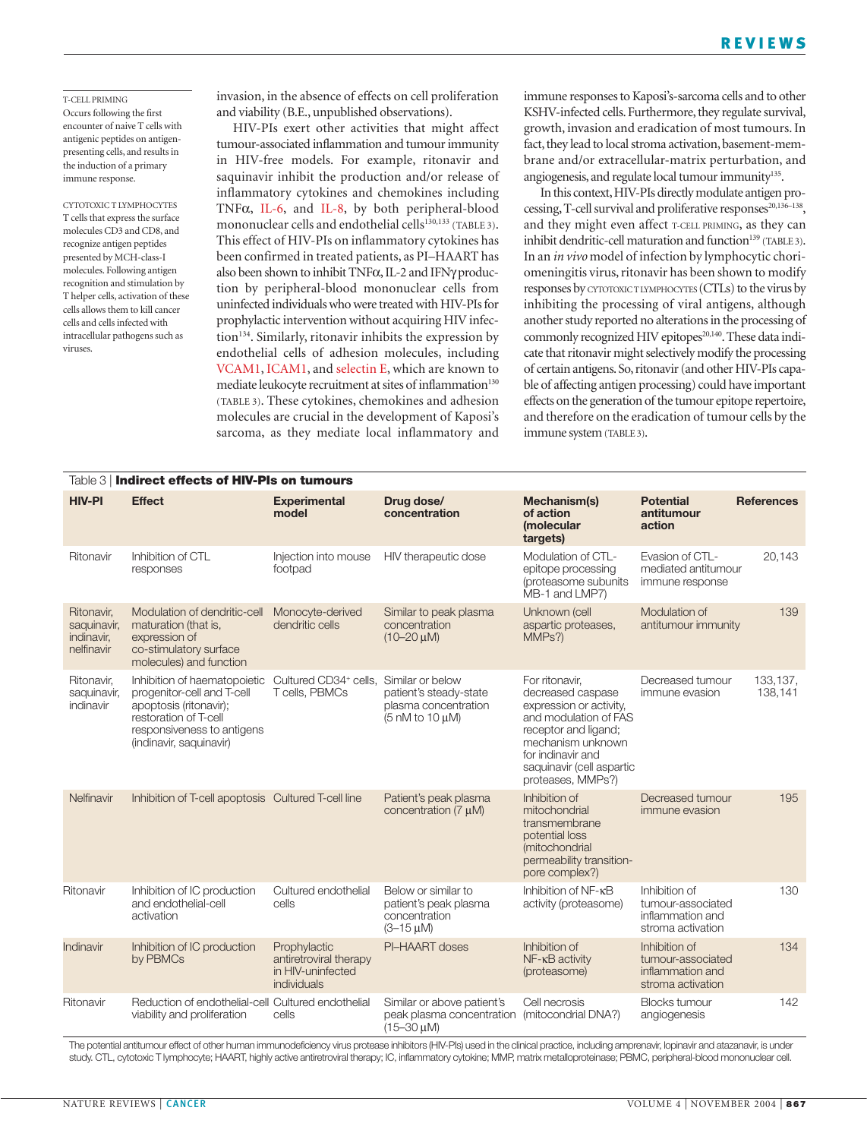### T-CELL PRIMING Occurs following the first encounter of naive T cells with antigenic peptides on antigenpresenting cells, and results in the induction of a primary immune response.

CYTOTOXIC T LYMPHOCYTES T cells that express the surface molecules CD3 and CD8, and recognize antigen peptides presented by MCH-class-I molecules. Following antigen recognition and stimulation by T helper cells, activation of these cells allows them to kill cancer cells and cells infected with intracellular pathogens such as viruses.

invasion, in the absence of effects on cell proliferation and viability (B.E., unpublished observations).

HIV-PIs exert other activities that might affect tumour-associated inflammation and tumour immunity in HIV-free models. For example, ritonavir and saquinavir inhibit the production and/or release of inflammatory cytokines and chemokines including TNFα, IL-6, and IL-8, by both peripheral-blood mononuclear cells and endothelial cells<sup>130,133</sup> (TABLE 3). This effect of HIV-PIs on inflammatory cytokines has been confirmed in treated patients, as PI–HAART has also been shown to inhibit TNFα, IL-2 and IFNγ production by peripheral-blood mononuclear cells from uninfected individuals who were treated with HIV-PIs for prophylactic intervention without acquiring HIV infection<sup>134</sup>. Similarly, ritonavir inhibits the expression by endothelial cells of adhesion molecules, including VCAM1, ICAM1, and selectin E, which are known to mediate leukocyte recruitment at sites of inflammation<sup>130</sup> (TABLE 3). These cytokines, chemokines and adhesion molecules are crucial in the development of Kaposi's sarcoma, as they mediate local inflammatory and

immune responses to Kaposi's-sarcoma cells and to other KSHV-infected cells. Furthermore, they regulate survival, growth, invasion and eradication of most tumours. In fact, they lead to local stroma activation, basement-membrane and/or extracellular-matrix perturbation, and angiogenesis, and regulate local tumour immunity<sup>135</sup>.

In this context, HIV-PIs directly modulate antigen processing, T-cell survival and proliferative responses<sup>20,136-138</sup>, and they might even affect T-CELL PRIMING, as they can inhibit dendritic-cell maturation and function<sup>139</sup> (TABLE 3). In an *in vivo* model of infection by lymphocytic choriomeningitis virus, ritonavir has been shown to modify responses by CYTOTOXIC T LYMPHOCYTES (CTLs) to the virus by inhibiting the processing of viral antigens, although another study reported no alterations in the processing of commonly recognized HIV epitopes<sup>20,140</sup>. These data indicate that ritonavir might selectively modify the processing of certain antigens. So, ritonavir (and other HIV-PIs capable of affecting antigen processing) could have important effects on the generation of the tumour epitope repertoire, and therefore on the eradication of tumour cells by the immune system (TABLE 3).

| Table 3   Indirect effects of HIV-PIs on tumours      |                                                                                                                                                                        |                                                                            |                                                                                                  |                                                                                                                                                                                                             |                                                                             |                     |
|-------------------------------------------------------|------------------------------------------------------------------------------------------------------------------------------------------------------------------------|----------------------------------------------------------------------------|--------------------------------------------------------------------------------------------------|-------------------------------------------------------------------------------------------------------------------------------------------------------------------------------------------------------------|-----------------------------------------------------------------------------|---------------------|
| <b>HIV-PI</b>                                         | <b>Effect</b>                                                                                                                                                          | <b>Experimental</b><br>model                                               | Drug dose/<br>concentration                                                                      | Mechanism(s)<br>of action<br><i><b>Imolecular</b></i><br>targets)                                                                                                                                           | <b>Potential</b><br>antitumour<br>action                                    | <b>References</b>   |
| Ritonavir                                             | Inhibition of CTL<br>responses                                                                                                                                         | Injection into mouse<br>footpad                                            | HIV therapeutic dose                                                                             | Modulation of CTL-<br>epitope processing<br>(proteasome subunits<br>MB-1 and LMP7)                                                                                                                          | Evasion of CTL-<br>mediated antitumour<br>immune response                   | 20,143              |
| Ritonavir,<br>saquinavir,<br>indinavir.<br>nelfinavir | Modulation of dendritic-cell<br>maturation (that is,<br>expression of<br>co-stimulatory surface<br>molecules) and function                                             | Monocyte-derived<br>dendritic cells                                        | Similar to peak plasma<br>concentration<br>$(10 - 20 \mu M)$                                     | Unknown (cell<br>aspartic proteases,<br>MMPs?)                                                                                                                                                              | Modulation of<br>antitumour immunity                                        | 139                 |
| Ritonavir.<br>saquinavir,<br>indinavir                | Inhibition of haematopoietic<br>progenitor-cell and T-cell<br>apoptosis (ritonavir);<br>restoration of T-cell<br>responsiveness to antigens<br>(indinavir, saquinavir) | Cultured CD34+ cells,<br>T cells, PBMCs                                    | Similar or below<br>patient's steady-state<br>plasma concentration<br>(5 nM to 10 µM)            | For ritonavir.<br>decreased caspase<br>expression or activity,<br>and modulation of FAS<br>receptor and ligand;<br>mechanism unknown<br>for indinavir and<br>saquinavir (cell aspartic<br>proteases, MMPs?) | Decreased tumour<br>immune evasion                                          | 133,137,<br>138,141 |
| Nelfinavir                                            | Inhibition of T-cell apoptosis Cultured T-cell line                                                                                                                    |                                                                            | Patient's peak plasma<br>concentration (7 µM)                                                    | Inhibition of<br>mitochondrial<br>transmembrane<br>potential loss<br>(mitochondrial<br>permeability transition-<br>pore complex?)                                                                           | Decreased tumour<br>immune evasion                                          | 195                 |
| Ritonavir                                             | Inhibition of IC production<br>and endothelial-cell<br>activation                                                                                                      | Cultured endothelial<br>cells                                              | Below or similar to<br>patient's peak plasma<br>concentration<br>$(3 - 15 \mu M)$                | Inhibition of $NF - \kappa B$<br>activity (proteasome)                                                                                                                                                      | Inhibition of<br>tumour-associated<br>inflammation and<br>stroma activation | 130                 |
| Indinavir                                             | Inhibition of IC production<br>by PBMCs                                                                                                                                | Prophylactic<br>antiretroviral therapy<br>in HIV-uninfected<br>individuals | PI-HAART doses                                                                                   | Inhibition of<br>$NF - \kappa B$ activity<br>(proteasome)                                                                                                                                                   | Inhibition of<br>tumour-associated<br>inflammation and<br>stroma activation | 134                 |
| Ritonavir                                             | Reduction of endothelial-cell Cultured endothelial<br>viability and proliferation                                                                                      | cells                                                                      | Similar or above patient's<br>peak plasma concentration (mitocondrial DNA?)<br>$(15 - 30 \mu M)$ | Cell necrosis                                                                                                                                                                                               | <b>Blocks tumour</b><br>angiogenesis                                        | 142                 |

The potential antitumour effect of other human immunodeficiency virus protease inhibitors (HIV-PIs) used in the clinical practice, including amprenavir, lopinavir and atazanavir, is under study. CTL, cytotoxic T lymphocyte; HAART, highly active antiretroviral therapy; IC, inflammatory cytokine; MMP, matrix metalloproteinase; PBMC, peripheral-blood mononuclear cell.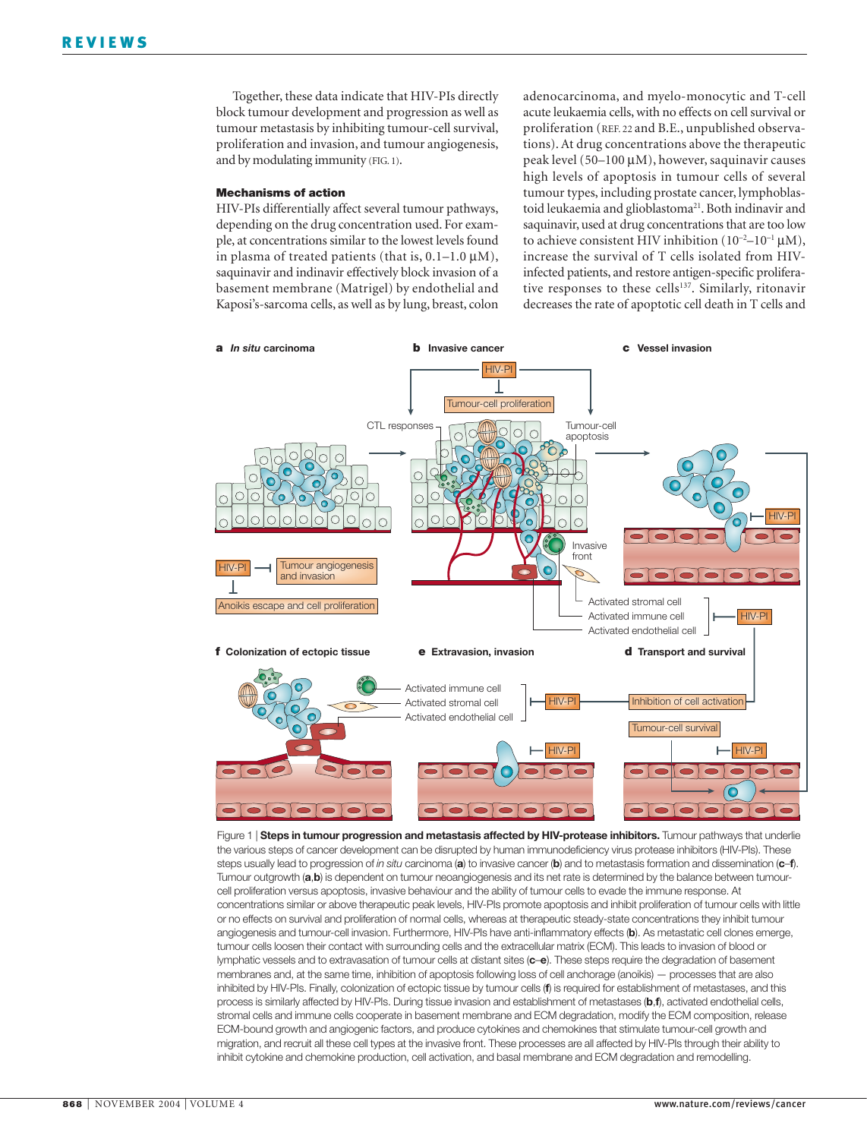Together, these data indicate that HIV-PIs directly block tumour development and progression as well as tumour metastasis by inhibiting tumour-cell survival, proliferation and invasion, and tumour angiogenesis, and by modulating immunity (FIG. 1).

## **Mechanisms of action**

HIV-PIs differentially affect several tumour pathways, depending on the drug concentration used. For example, at concentrations similar to the lowest levels found in plasma of treated patients (that is,  $0.1-1.0 \mu M$ ), saquinavir and indinavir effectively block invasion of a basement membrane (Matrigel) by endothelial and Kaposi's-sarcoma cells, as well as by lung, breast, colon adenocarcinoma, and myelo-monocytic and T-cell acute leukaemia cells, with no effects on cell survival or proliferation (REF. 22 and B.E., unpublished observations). At drug concentrations above the therapeutic peak level (50–100 µM), however, saquinavir causes high levels of apoptosis in tumour cells of several tumour types, including prostate cancer, lymphoblastoid leukaemia and glioblastoma<sup>21</sup>. Both indinavir and saquinavir, used at drug concentrations that are too low to achieve consistent HIV inhibition  $(10^{-2}-10^{-1} \mu M)$ , increase the survival of T cells isolated from HIVinfected patients, and restore antigen-specific proliferative responses to these cells<sup>137</sup>. Similarly, ritonavir decreases the rate of apoptotic cell death in T cells and



Figure 1 | **Steps in tumour progression and metastasis affected by HIV-protease inhibitors.** Tumour pathways that underlie the various steps of cancer development can be disrupted by human immunodeficiency virus protease inhibitors (HIV-PIs). These steps usually lead to progression of *in situ* carcinoma (**a**) to invasive cancer (**b**) and to metastasis formation and dissemination (**c**–**f**). Tumour outgrowth (**a**,**b**) is dependent on tumour neoangiogenesis and its net rate is determined by the balance between tumourcell proliferation versus apoptosis, invasive behaviour and the ability of tumour cells to evade the immune response. At concentrations similar or above therapeutic peak levels, HIV-PIs promote apoptosis and inhibit proliferation of tumour cells with little or no effects on survival and proliferation of normal cells, whereas at therapeutic steady-state concentrations they inhibit tumour angiogenesis and tumour-cell invasion. Furthermore, HIV-PIs have anti-inflammatory effects (**b**). As metastatic cell clones emerge, tumour cells loosen their contact with surrounding cells and the extracellular matrix (ECM). This leads to invasion of blood or lymphatic vessels and to extravasation of tumour cells at distant sites (**c**–**e**). These steps require the degradation of basement membranes and, at the same time, inhibition of apoptosis following loss of cell anchorage (anoikis) — processes that are also inhibited by HIV-PIs. Finally, colonization of ectopic tissue by tumour cells (**f**) is required for establishment of metastases, and this process is similarly affected by HIV-PIs. During tissue invasion and establishment of metastases (**b**,**f**), activated endothelial cells, stromal cells and immune cells cooperate in basement membrane and ECM degradation, modify the ECM composition, release ECM-bound growth and angiogenic factors, and produce cytokines and chemokines that stimulate tumour-cell growth and migration, and recruit all these cell types at the invasive front. These processes are all affected by HIV-PIs through their ability to inhibit cytokine and chemokine production, cell activation, and basal membrane and ECM degradation and remodelling.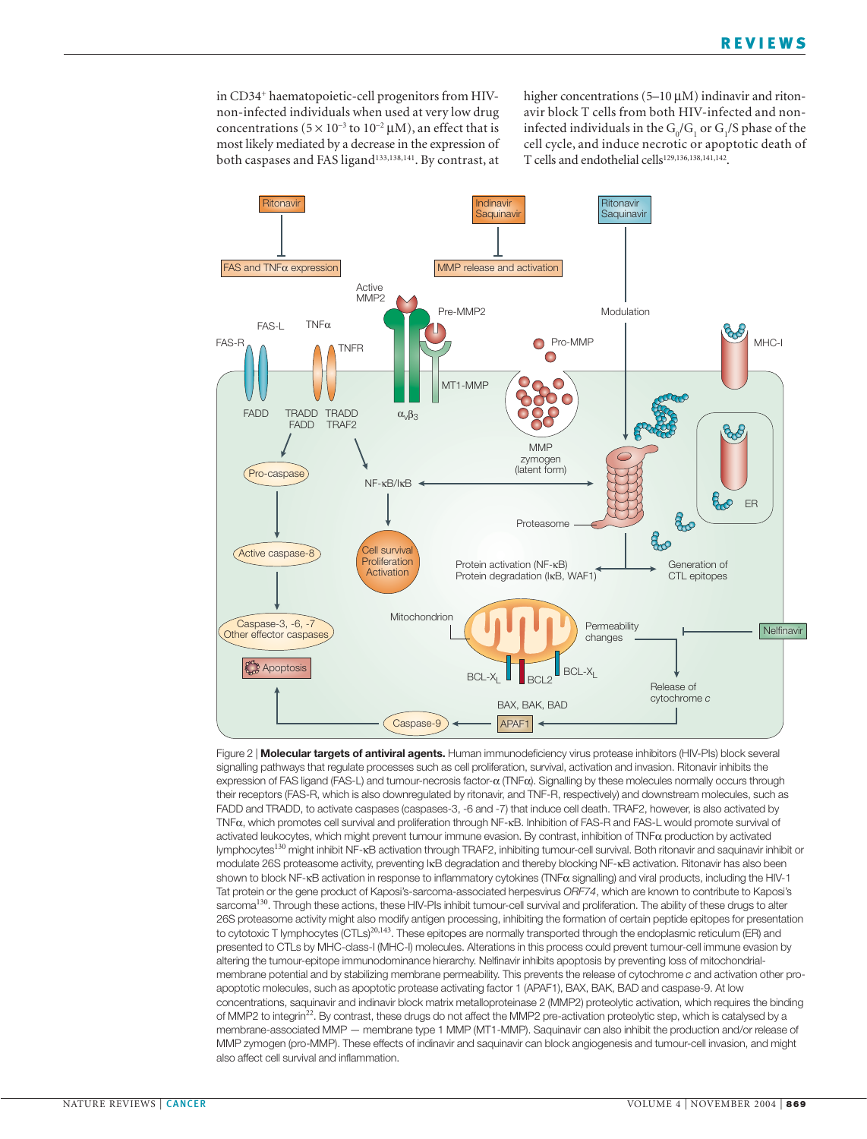in CD34+ haematopoietic-cell progenitors from HIVnon-infected individuals when used at very low drug concentrations  $(5 \times 10^{-3} \text{ to } 10^{-2} \mu\text{M})$ , an effect that is most likely mediated by a decrease in the expression of both caspases and FAS ligand<sup>133,138,141</sup>. By contrast, at higher concentrations  $(5-10 \mu M)$  indinavir and ritonavir block T cells from both HIV-infected and noninfected individuals in the  $\mathrm{G_{0}}/\mathrm{G_{1}}$  or  $\mathrm{G_{1}}/\mathrm{S}$  phase of the cell cycle, and induce necrotic or apoptotic death of T cells and endothelial cells<sup>129,136,138,141,142</sup>.



Figure 2 | **Molecular targets of antiviral agents.** Human immunodeficiency virus protease inhibitors (HIV-PIs) block several signalling pathways that regulate processes such as cell proliferation, survival, activation and invasion. Ritonavir inhibits the expression of FAS ligand (FAS-L) and tumour-necrosis factor-α (TNFα). Signalling by these molecules normally occurs through their receptors (FAS-R, which is also downregulated by ritonavir, and TNF-R, respectively) and downstream molecules, such as FADD and TRADD, to activate caspases (caspases-3, -6 and -7) that induce cell death. TRAF2, however, is also activated by TNFα, which promotes cell survival and proliferation through NF-κB. Inhibition of FAS-R and FAS-L would promote survival of activated leukocytes, which might prevent tumour immune evasion. By contrast, inhibition of TNFα production by activated lymphocytes<sup>130</sup> might inhibit NF-κB activation through TRAF2, inhibiting tumour-cell survival. Both ritonavir and saquinavir inhibit or modulate 26S proteasome activity, preventing IκB degradation and thereby blocking NF-κB activation. Ritonavir has also been shown to block NF-κB activation in response to inflammatory cytokines (TNFα signalling) and viral products, including the HIV-1 Tat protein or the gene product of Kaposi's-sarcoma-associated herpesvirus *ORF74*, which are known to contribute to Kaposi's sarcoma<sup>130</sup>. Through these actions, these HIV-PIs inhibit tumour-cell survival and proliferation. The ability of these drugs to alter 26S proteasome activity might also modify antigen processing, inhibiting the formation of certain peptide epitopes for presentation to cytotoxic T lymphocytes (CTLs)<sup>20,143</sup>. These epitopes are normally transported through the endoplasmic reticulum (ER) and presented to CTLs by MHC-class-I (MHC-I) molecules. Alterations in this process could prevent tumour-cell immune evasion by altering the tumour-epitope immunodominance hierarchy. Nelfinavir inhibits apoptosis by preventing loss of mitochondrialmembrane potential and by stabilizing membrane permeability. This prevents the release of cytochrome *c* and activation other proapoptotic molecules, such as apoptotic protease activating factor 1 (APAF1), BAX, BAK, BAD and caspase-9. At low concentrations, saquinavir and indinavir block matrix metalloproteinase 2 (MMP2) proteolytic activation, which requires the binding of MMP2 to integrin<sup>22</sup>. By contrast, these drugs do not affect the MMP2 pre-activation proteolytic step, which is catalysed by a membrane-associated MMP — membrane type 1 MMP (MT1-MMP). Saquinavir can also inhibit the production and/or release of MMP zymogen (pro-MMP). These effects of indinavir and saquinavir can block angiogenesis and tumour-cell invasion, and might also affect cell survival and inflammation.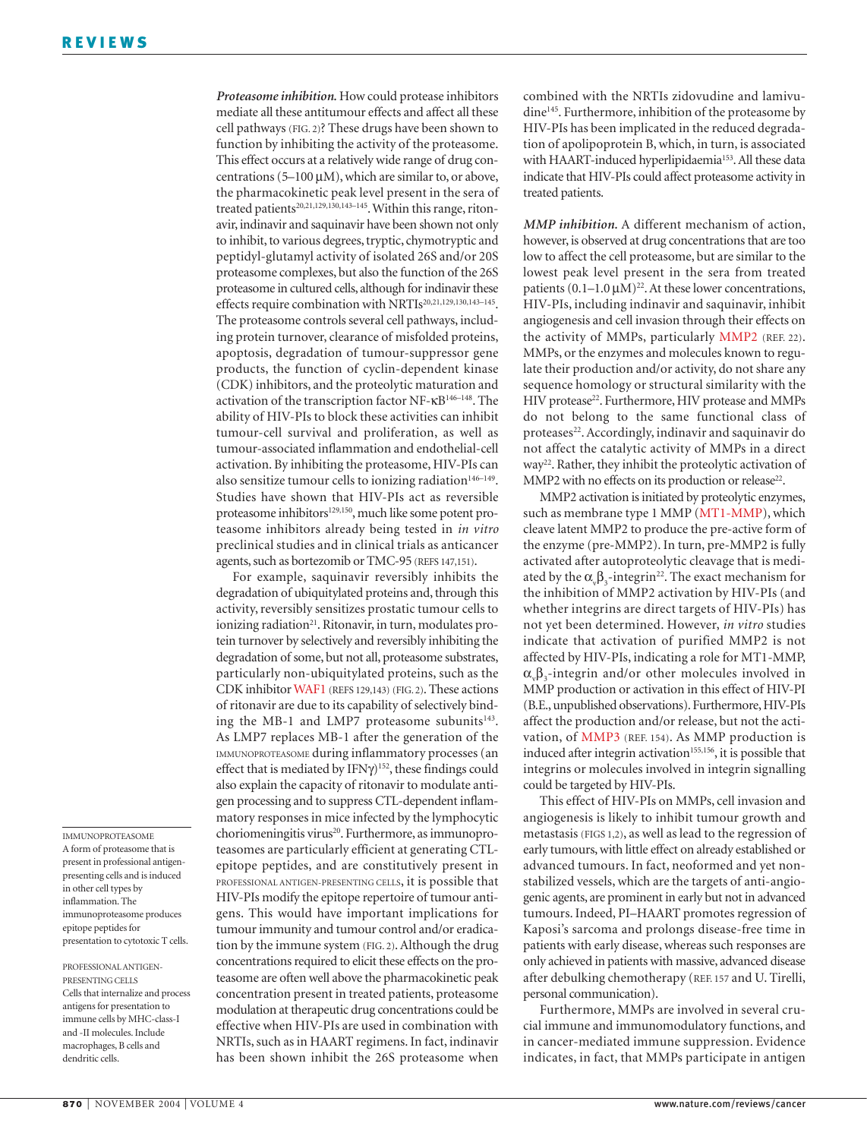*Proteasome inhibition.* How could protease inhibitors mediate all these antitumour effects and affect all these cell pathways (FIG. 2)? These drugs have been shown to function by inhibiting the activity of the proteasome. This effect occurs at a relatively wide range of drug concentrations (5–100  $\mu$ M), which are similar to, or above, the pharmacokinetic peak level present in the sera of treated patients<sup>20,21,129,130,143-145</sup>. Within this range, ritonavir, indinavir and saquinavir have been shown not only to inhibit, to various degrees, tryptic, chymotryptic and peptidyl-glutamyl activity of isolated 26S and/or 20S proteasome complexes, but also the function of the 26S proteasome in cultured cells, although for indinavir these effects require combination with NRTIs<sup>20,21,129,130,143-145</sup>. The proteasome controls several cell pathways, including protein turnover, clearance of misfolded proteins, apoptosis, degradation of tumour-suppressor gene products, the function of cyclin-dependent kinase (CDK) inhibitors, and the proteolytic maturation and activation of the transcription factor NF-κB146–148. The ability of HIV-PIs to block these activities can inhibit tumour-cell survival and proliferation, as well as tumour-associated inflammation and endothelial-cell activation. By inhibiting the proteasome, HIV-PIs can also sensitize tumour cells to ionizing radiation<sup>146–149</sup>. Studies have shown that HIV-PIs act as reversible proteasome inhibitors<sup>129,150</sup>, much like some potent proteasome inhibitors already being tested in *in vitro* preclinical studies and in clinical trials as anticancer agents, such as bortezomib or TMC-95 (REFS 147,151).

For example, saquinavir reversibly inhibits the degradation of ubiquitylated proteins and, through this activity, reversibly sensitizes prostatic tumour cells to ionizing radiation<sup>21</sup>. Ritonavir, in turn, modulates protein turnover by selectively and reversibly inhibiting the degradation of some, but not all, proteasome substrates, particularly non-ubiquitylated proteins, such as the CDK inhibitor WAF1 (REFS 129,143) (FIG. 2). These actions of ritonavir are due to its capability of selectively binding the MB-1 and LMP7 proteasome subunits<sup>143</sup>. As LMP7 replaces MB-1 after the generation of the IMMUNOPROTEASOME during inflammatory processes (an effect that is mediated by IFN $\gamma$ <sup>152</sup>, these findings could also explain the capacity of ritonavir to modulate antigen processing and to suppress CTL-dependent inflammatory responses in mice infected by the lymphocytic choriomeningitis virus<sup>20</sup>. Furthermore, as immunoproteasomes are particularly efficient at generating CTLepitope peptides, and are constitutively present in PROFESSIONAL ANTIGEN-PRESENTING CELLS, it is possible that HIV-PIs modify the epitope repertoire of tumour antigens. This would have important implications for tumour immunity and tumour control and/or eradication by the immune system (FIG. 2). Although the drug concentrations required to elicit these effects on the proteasome are often well above the pharmacokinetic peak concentration present in treated patients, proteasome modulation at therapeutic drug concentrations could be effective when HIV-PIs are used in combination with NRTIs, such as in HAART regimens. In fact, indinavir has been shown inhibit the 26S proteasome when

combined with the NRTIs zidovudine and lamivudine145. Furthermore, inhibition of the proteasome by HIV-PIs has been implicated in the reduced degradation of apolipoprotein B, which, in turn, is associated with HAART-induced hyperlipidaemia<sup>153</sup>. All these data indicate that HIV-PIs could affect proteasome activity in treated patients.

*MMP inhibition.* A different mechanism of action, however, is observed at drug concentrations that are too low to affect the cell proteasome, but are similar to the lowest peak level present in the sera from treated patients  $(0.1-1.0 \,\mu\text{M})^{22}$ . At these lower concentrations, HIV-PIs, including indinavir and saquinavir, inhibit angiogenesis and cell invasion through their effects on the activity of MMPs, particularly MMP2 (REF. 22). MMPs, or the enzymes and molecules known to regulate their production and/or activity, do not share any sequence homology or structural similarity with the HIV protease<sup>22</sup>. Furthermore, HIV protease and MMPs do not belong to the same functional class of proteases<sup>22</sup>. Accordingly, indinavir and saquinavir do not affect the catalytic activity of MMPs in a direct way<sup>22</sup>. Rather, they inhibit the proteolytic activation of MMP2 with no effects on its production or release<sup>22</sup>.

MMP2 activation is initiated by proteolytic enzymes, such as membrane type 1 MMP (MT1-MMP), which cleave latent MMP2 to produce the pre-active form of the enzyme (pre-MMP2). In turn, pre-MMP2 is fully activated after autoproteolytic cleavage that is mediated by the  $\alpha_{\rm v}\beta_{\rm 3}$ -integrin<sup>22</sup>. The exact mechanism for the inhibition of MMP2 activation by HIV-PIs (and whether integrins are direct targets of HIV-PIs) has not yet been determined. However, *in vitro* studies indicate that activation of purified MMP2 is not affected by HIV-PIs, indicating a role for MT1-MMP,  $\alpha_{\rm v}\beta_{\rm s}$ -integrin and/or other molecules involved in MMP production or activation in this effect of HIV-PI (B.E., unpublished observations). Furthermore, HIV-PIs affect the production and/or release, but not the activation, of MMP3 (REF. 154). As MMP production is induced after integrin activation<sup>155,156</sup>, it is possible that integrins or molecules involved in integrin signalling could be targeted by HIV-PIs.

This effect of HIV-PIs on MMPs, cell invasion and angiogenesis is likely to inhibit tumour growth and metastasis (FIGS 1,2), as well as lead to the regression of early tumours, with little effect on already established or advanced tumours. In fact, neoformed and yet nonstabilized vessels, which are the targets of anti-angiogenic agents, are prominent in early but not in advanced tumours. Indeed, PI–HAART promotes regression of Kaposi's sarcoma and prolongs disease-free time in patients with early disease, whereas such responses are only achieved in patients with massive, advanced disease after debulking chemotherapy (REF. 157 and U. Tirelli, personal communication).

Furthermore, MMPs are involved in several crucial immune and immunomodulatory functions, and in cancer-mediated immune suppression. Evidence indicates, in fact, that MMPs participate in antigen

IMMUNOPROTEASOME A form of proteasome that is present in professional antigenpresenting cells and is induced in other cell types by inflammation. The immunoproteasome produces epitope peptides for presentation to cytotoxic T cells.

PROFESSIONAL ANTIGEN-PRESENTING CELLS Cells that internalize and process antigens for presentation to immune cells by MHC-class-I and -II molecules. Include macrophages, B cells and dendritic cells.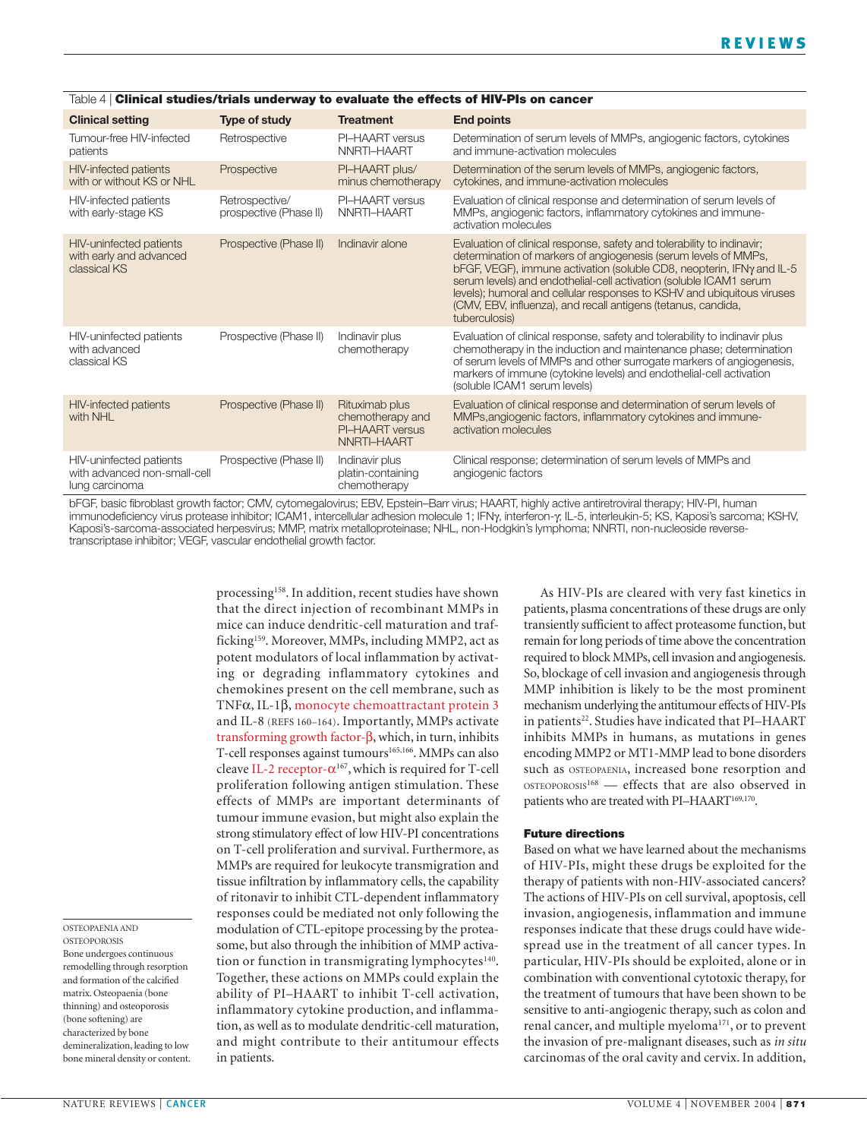|  |  |  |  | Table 4   Clinical studies/trials underway to evaluate the effects of HIV-PIs on cancer |  |  |  |  |
|--|--|--|--|-----------------------------------------------------------------------------------------|--|--|--|--|
|--|--|--|--|-----------------------------------------------------------------------------------------|--|--|--|--|

| <b>Clinical setting</b>                                                   | <b>Type of study</b>                     | <b>Treatment</b>                                                     | <b>End points</b>                                                                                                                                                                                                                                                                                                                                                                                                                                    |
|---------------------------------------------------------------------------|------------------------------------------|----------------------------------------------------------------------|------------------------------------------------------------------------------------------------------------------------------------------------------------------------------------------------------------------------------------------------------------------------------------------------------------------------------------------------------------------------------------------------------------------------------------------------------|
| Tumour-free HIV-infected<br>patients                                      | Retrospective                            | PI-HAART versus<br>NNRTI-HAART                                       | Determination of serum levels of MMPs, angiogenic factors, cytokines<br>and immune-activation molecules                                                                                                                                                                                                                                                                                                                                              |
| <b>HIV-infected patients</b><br>with or without KS or NHL                 | Prospective                              | PI-HAART plus/<br>minus chemotherapy                                 | Determination of the serum levels of MMPs, angiogenic factors,<br>cytokines, and immune-activation molecules                                                                                                                                                                                                                                                                                                                                         |
| <b>HIV-infected patients</b><br>with early-stage KS                       | Retrospective/<br>prospective (Phase II) | PI-HAART versus<br>NNRTI-HAART                                       | Evaluation of clinical response and determination of serum levels of<br>MMPs, angiogenic factors, inflammatory cytokines and immune-<br>activation molecules                                                                                                                                                                                                                                                                                         |
| <b>HIV-uninfected patients</b><br>with early and advanced<br>classical KS | Prospective (Phase II)                   | Indinavir alone                                                      | Evaluation of clinical response, safety and tolerability to indinavir;<br>determination of markers of angiogenesis (serum levels of MMPs,<br>bFGF, VEGF), immune activation (soluble CD8, neopterin, IFNy and IL-5<br>serum levels) and endothelial-cell activation (soluble ICAM1 serum<br>levels); humoral and cellular responses to KSHV and ubiquitous viruses<br>(CMV, EBV, influenza), and recall antigens (tetanus, candida,<br>tuberculosis) |
| HIV-uninfected patients<br>with advanced<br>classical KS                  | Prospective (Phase II)                   | Indinavir plus<br>chemotherapy                                       | Evaluation of clinical response, safety and tolerability to indinavir plus<br>chemotherapy in the induction and maintenance phase; determination<br>of serum levels of MMPs and other surrogate markers of angiogenesis,<br>markers of immune (cytokine levels) and endothelial-cell activation<br>(soluble ICAM1 serum levels)                                                                                                                      |
| <b>HIV-infected patients</b><br>with NHL                                  | Prospective (Phase II)                   | Rituximab plus<br>chemotherapy and<br>PI-HAART versus<br>NNRTI-HAART | Evaluation of clinical response and determination of serum levels of<br>MMPs, angiogenic factors, inflammatory cytokines and immune-<br>activation molecules                                                                                                                                                                                                                                                                                         |
| HIV-uninfected patients<br>with advanced non-small-cell<br>lung carcinoma | Prospective (Phase II)                   | Indinavir plus<br>platin-containing<br>chemotherapy                  | Clinical response; determination of serum levels of MMPs and<br>angiogenic factors                                                                                                                                                                                                                                                                                                                                                                   |

bFGF, basic fibroblast growth factor; CMV, cytomegalovirus; EBV, Epstein–Barr virus; HAART, highly active antiretroviral therapy; HIV-PI, human immunodeficiency virus protease inhibitor; ICAM1, intercellular adhesion molecule 1; IFNγ, interferon-γ; IL-5, interleukin-5; KS, Kaposi's sarcoma; KSHV, Kaposi's-sarcoma-associated herpesvirus; MMP, matrix metalloproteinase; NHL, non-Hodgkin's lymphoma; NNRTI, non-nucleoside reversetranscriptase inhibitor; VEGF, vascular endothelial growth factor.

> processing<sup>158</sup>. In addition, recent studies have shown that the direct injection of recombinant MMPs in mice can induce dendritic-cell maturation and trafficking159. Moreover, MMPs, including MMP2, act as potent modulators of local inflammation by activating or degrading inflammatory cytokines and chemokines present on the cell membrane, such as TNFα, IL-1β, monocyte chemoattractant protein 3 and IL-8 (REFS 160–164). Importantly, MMPs activate transforming growth factor-β, which, in turn, inhibits T-cell responses against tumours<sup>165,166</sup>. MMPs can also cleave IL-2 receptor- $\alpha^{167}$ , which is required for T-cell proliferation following antigen stimulation. These effects of MMPs are important determinants of tumour immune evasion, but might also explain the strong stimulatory effect of low HIV-PI concentrations on T-cell proliferation and survival. Furthermore, as MMPs are required for leukocyte transmigration and tissue infiltration by inflammatory cells, the capability of ritonavir to inhibit CTL-dependent inflammatory responses could be mediated not only following the modulation of CTL-epitope processing by the proteasome, but also through the inhibition of MMP activation or function in transmigrating lymphocytes<sup>140</sup>. Together, these actions on MMPs could explain the ability of PI–HAART to inhibit T-cell activation, inflammatory cytokine production, and inflammation, as well as to modulate dendritic-cell maturation, and might contribute to their antitumour effects in patients.

As HIV-PIs are cleared with very fast kinetics in patients, plasma concentrations of these drugs are only transiently sufficient to affect proteasome function, but remain for long periods of time above the concentration required to block MMPs, cell invasion and angiogenesis. So, blockage of cell invasion and angiogenesis through MMP inhibition is likely to be the most prominent mechanism underlying the antitumour effects of HIV-PIs in patients<sup>22</sup>. Studies have indicated that PI-HAART inhibits MMPs in humans, as mutations in genes encoding MMP2 or MT1-MMP lead to bone disorders such as OSTEOPAENIA, increased bone resorption and OSTEOPOROSIS<sup>168</sup> — effects that are also observed in patients who are treated with PI–HAART<sup>169,170</sup>.

# **Future directions**

Based on what we have learned about the mechanisms of HIV-PIs, might these drugs be exploited for the therapy of patients with non-HIV-associated cancers? The actions of HIV-PIs on cell survival, apoptosis, cell invasion, angiogenesis, inflammation and immune responses indicate that these drugs could have widespread use in the treatment of all cancer types. In particular, HIV-PIs should be exploited, alone or in combination with conventional cytotoxic therapy, for the treatment of tumours that have been shown to be sensitive to anti-angiogenic therapy, such as colon and renal cancer, and multiple myeloma<sup>171</sup>, or to prevent the invasion of pre-malignant diseases, such as *in situ* carcinomas of the oral cavity and cervix. In addition,

OSTEOPAENIA AND OSTEOPOROSIS Bone undergoes continuous remodelling through resorption and formation of the calcified matrix. Osteopaenia (bone thinning) and osteoporosis (bone softening) are characterized by bone demineralization, leading to low bone mineral density or content.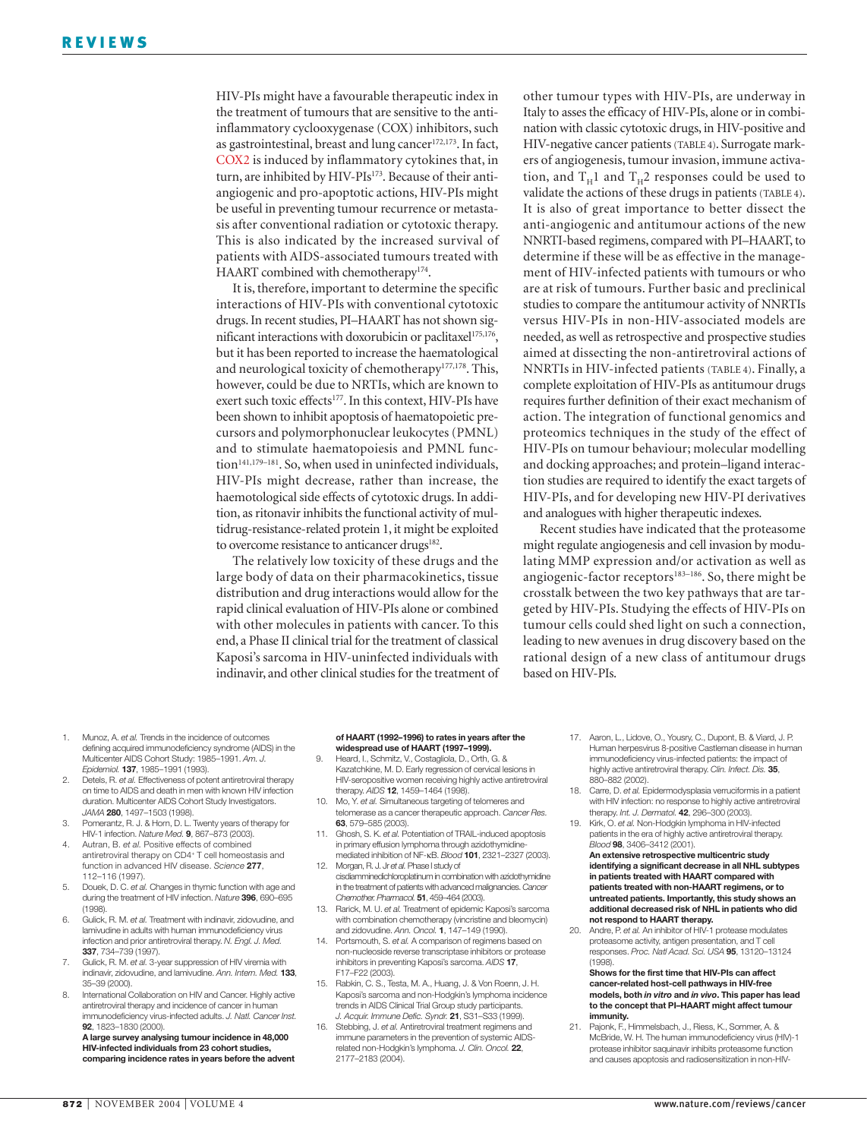HIV-PIs might have a favourable therapeutic index in the treatment of tumours that are sensitive to the antiinflammatory cyclooxygenase (COX) inhibitors, such as gastrointestinal, breast and lung cancer<sup>172,173</sup>. In fact, COX2 is induced by inflammatory cytokines that, in turn, are inhibited by HIV-PIs<sup>173</sup>. Because of their antiangiogenic and pro-apoptotic actions, HIV-PIs might be useful in preventing tumour recurrence or metastasis after conventional radiation or cytotoxic therapy. This is also indicated by the increased survival of patients with AIDS-associated tumours treated with HAART combined with chemotherapy<sup>174</sup>.

It is, therefore, important to determine the specific interactions of HIV-PIs with conventional cytotoxic drugs. In recent studies, PI–HAART has not shown significant interactions with doxorubicin or paclitaxel<sup>175,176</sup>, but it has been reported to increase the haematological and neurological toxicity of chemotherapy<sup>177,178</sup>. This, however, could be due to NRTIs, which are known to exert such toxic effects<sup>177</sup>. In this context, HIV-PIs have been shown to inhibit apoptosis of haematopoietic precursors and polymorphonuclear leukocytes (PMNL) and to stimulate haematopoiesis and PMNL function<sup>141,179-181</sup>. So, when used in uninfected individuals, HIV-PIs might decrease, rather than increase, the haemotological side effects of cytotoxic drugs. In addition, as ritonavir inhibits the functional activity of multidrug-resistance-related protein 1, it might be exploited to overcome resistance to anticancer drugs<sup>182</sup>.

The relatively low toxicity of these drugs and the large body of data on their pharmacokinetics, tissue distribution and drug interactions would allow for the rapid clinical evaluation of HIV-PIs alone or combined with other molecules in patients with cancer. To this end, a Phase II clinical trial for the treatment of classical Kaposi's sarcoma in HIV-uninfected individuals with indinavir, and other clinical studies for the treatment of other tumour types with HIV-PIs, are underway in Italy to asses the efficacy of HIV-PIs, alone or in combination with classic cytotoxic drugs, in HIV-positive and HIV-negative cancer patients (TABLE 4). Surrogate markers of angiogenesis, tumour invasion, immune activation, and  $T_H1$  and  $T_H2$  responses could be used to validate the actions of these drugs in patients (TABLE 4). It is also of great importance to better dissect the anti-angiogenic and antitumour actions of the new NNRTI-based regimens, compared with PI–HAART, to determine if these will be as effective in the management of HIV-infected patients with tumours or who are at risk of tumours. Further basic and preclinical studies to compare the antitumour activity of NNRTIs versus HIV-PIs in non-HIV-associated models are needed, as well as retrospective and prospective studies aimed at dissecting the non-antiretroviral actions of NNRTIs in HIV-infected patients (TABLE 4). Finally, a complete exploitation of HIV-PIs as antitumour drugs requires further definition of their exact mechanism of action. The integration of functional genomics and proteomics techniques in the study of the effect of HIV-PIs on tumour behaviour; molecular modelling and docking approaches; and protein–ligand interaction studies are required to identify the exact targets of HIV-PIs, and for developing new HIV-PI derivatives and analogues with higher therapeutic indexes.

Recent studies have indicated that the proteasome might regulate angiogenesis and cell invasion by modulating MMP expression and/or activation as well as angiogenic-factor receptors<sup>183-186</sup>. So, there might be crosstalk between the two key pathways that are targeted by HIV-PIs. Studying the effects of HIV-PIs on tumour cells could shed light on such a connection, leading to new avenues in drug discovery based on the rational design of a new class of antitumour drugs based on HIV-PIs.

- 1. Munoz, A. *et al.* Trends in the incidence of outcomes defining acquired immunodeficiency syndrome (AIDS) in the Multicenter AIDS Cohort Study: 1985–1991. *Am. J. Epidemiol.* **137**, 1985–1991 (1993).
- 2. Detels, R. *et al.* Effectiveness of potent antiretroviral therapy on time to AIDS and death in men with known HIV infection duration. Multicenter AIDS Cohort Study Investigators. *JAMA* **280**, 1497–1503 (1998).
- 3. Pomerantz, R. J. & Horn, D. L. Twenty years of therapy for HIV-1 infection. *Nature Med.* **9**, 867–873 (2003).
- 4. Autran, B. *et al.* Positive effects of combined antiretroviral therapy on CD4+ T cell homeostasis and function in advanced HIV disease. *Science* **277**, 112–116 (1997).
- 5. Douek, D. C. *et al.* Changes in thymic function with age and during the treatment of HIV infection. *Nature* **396**, 690–695 (1998).
- 6. Gulick, R. M. *et al.* Treatment with indinavir, zidovudine, and lamivudine in adults with human immunodeficiency virus infection and prior antiretroviral therapy. *N. Engl. J. Med.* **337**, 734–739 (1997).
- 7. Gulick, R. M. *et al.* 3-year suppression of HIV viremia with indinavir, zidovudine, and lamivudine. *Ann. Intern. Med.* **133**, 35–39 (2000).
- International Collaboration on HIV and Cancer. Highly active antiretroviral therapy and incidence of cancer in human immunodeficiency virus-infected adults. *J. Natl. Cancer Inst.* **92**, 1823–1830 (2000).

#### **A large survey analysing tumour incidence in 48,000 HIV-infected individuals from 23 cohort studies, comparing incidence rates in years before the advent**

**of HAART (1992–1996) to rates in years after the widespread use of HAART (1997–1999).**

- 9. Heard, I., Schmitz, V., Costagliola, D., Orth, G. & Kazatchkine, M. D. Early regression of cervical lesions in HIV-seropositive women receiving highly active antiretroviral therapy. *AIDS* **12**, 1459–1464 (1998).
- 10. Mo, Y. *et al.* Simultaneous targeting of telomeres and telomerase as a cancer therapeutic approach. *Cancer Res.* **63**, 579–585 (2003).
- 11. Ghosh, S. K. *et al.* Potentiation of TRAIL-induced apoptosis in primary effusion lymphoma through azidothymidinemediated inhibition of NF-κB. *Blood* **101**, 2321–2327 (2003).
- 12. Morgan, R. J. Jr *et al.* Phase I study of cisdiamminedichloroplatinum in combination with azidothymidine in the treatment of patients with advanced malignancies. *Cancer Chemother. Pharmacol.* **51**, 459–464 (2003).
- 13. Rarick, M. U. *et al.* Treatment of epidemic Kaposi's sarcoma with combination chemotherapy (vincristine and bleomycin) and zidovudine. *Ann. Oncol.* **1**, 147–149 (1990).
- 14. Portsmouth, S. *et al.* A comparison of regimens based on non-nucleoside reverse transcriptase inhibitors or protease inhibitors in preventing Kaposi's sarcoma. *AIDS* **17**, F17–F22 (2003).
- 15. Rabkin, C. S., Testa, M. A., Huang, J. & Von Roenn, J. H. Kaposi's sarcoma and non-Hodgkin's lymphoma incidence trends in AIDS Clinical Trial Group study participants. *J. Acquir. Immune Defic. Syndr.* **21**, S31–S33 (1999).
- 16. Stebbing, J. *et al.* Antiretroviral treatment regimens and immune parameters in the prevention of systemic AIDSrelated non-Hodgkin's lymphoma. *J. Clin. Oncol.* **22**, 2177–2183 (2004).
- 17. Aaron, L., Lidove, O., Yousry, C., Dupont, B. & Viard, J. P. Human herpesvirus 8-positive Castleman disease in human immunodeficiency virus-infected patients: the impact of highly active antiretroviral therapy. *Clin. Infect. Dis.* **35**, 880–882 (2002).
- 18. Carre, D. *et al.* Epidermodysplasia verruciformis in a patient with HIV infection: no response to highly active antiretroviral therapy. *Int. J. Dermatol.* **42**, 296–300 (2003).
- 19. Kirk, O. *et al.* Non-Hodgkin lymphoma in HIV-infected patients in the era of highly active antiretroviral therapy. *Blood* **98**, 3406–3412 (2001).

**An extensive retrospective multicentric study identifying a significant decrease in all NHL subtypes in patients treated with HAART compared with patients treated with non-HAART regimens, or to untreated patients. Importantly, this study shows an additional decreased risk of NHL in patients who did not respond to HAART therapy.**

20. Andre, P. *et al.* An inhibitor of HIV-1 protease modulates proteasome activity, antigen presentation, and T cell responses. *Proc. Natl Acad. Sci. USA* **95**, 13120–13124  $(100R)$ 

#### **Shows for the first time that HIV-PIs can affect cancer-related host-cell pathways in HIV-free models, both** *in vitro* **and** *in vivo***. This paper has lead to the concept that PI–HAART might affect tumour immunity.**

21. Pajonk, F., Himmelsbach, J., Riess, K., Sommer, A. & McBride, W. H. The human immunodeficiency virus (HIV)-1 protease inhibitor saquinavir inhibits proteasome function and causes apoptosis and radiosensitization in non-HIV-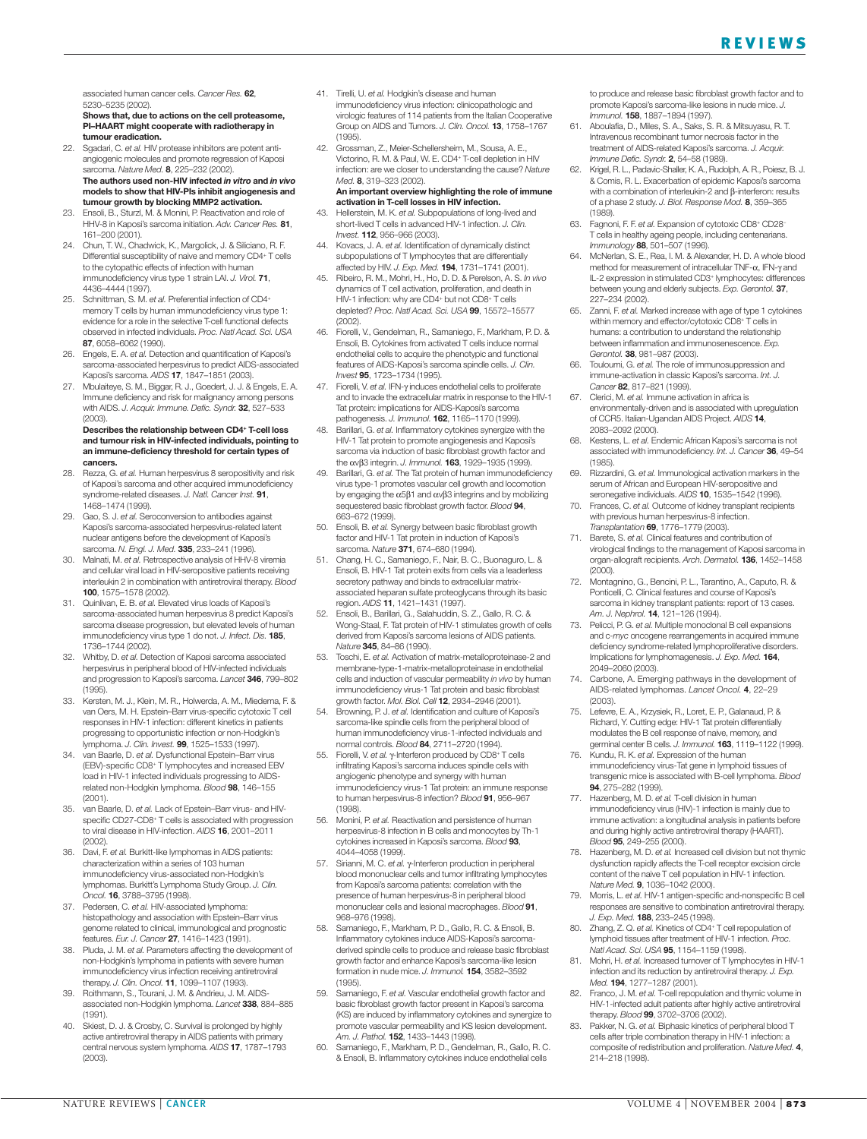associated human cancer cells. *Cancer Res.* **62**, 5230–5235 (2002).

**Shows that, due to actions on the cell proteasome, PI–HAART might cooperate with radiotherapy in tumour eradication.**

- Sgadari, C. et al. HIV protease inhibitors are potent antiangiogenic molecules and promote regression of Kaposi sarcoma. *Nature Med.* **8**, 225–232 (2002). **The authors used non-HIV infected** *in vitro* **and** *in vivo* **models to show that HIV-PIs inhibit angiogenesis and tumour growth by blocking MMP2 activation.**
- 23. Ensoli, B., Sturzl, M. & Monini, P. Reactivation and role of HHV-8 in Kaposi's sarcoma initiation. *Adv. Cancer Res.* **81**, 161–200 (2001).
- 24. Chun, T. W., Chadwick, K., Margolick, J. & Siliciano, R. F. Differential susceptibility of naive and memory CD4+ T cells to the cytopathic effects of infection with human immunodeficiency virus type 1 strain LAI. *J. Virol.* **71**, 4436–4444 (1997).
- 25. Schnittman, S. M. *et al.* Preferential infection of CD4<sup>+</sup> memory T cells by human immunodeficiency virus type 1: evidence for a role in the selective T-cell functional defects observed in infected individuals. *Proc. Natl Acad. Sci. USA* **87**, 6058–6062 (1990).
- 26. Engels, E. A. *et al.* Detection and quantification of Kaposi's sarcoma-associated herpesvirus to predict AIDS-associated Kaposi's sarcoma. *AIDS* **17**, 1847–1851 (2003).
- 27. Mbulaiteye, S. M., Biggar, R. J., Goedert, J. J. & Engels, E. A. Immune deficiency and risk for malignancy among persons with AIDS. *J. Acquir. Immune. Defic. Syndr.* **32**, 527–533 (2003).

#### **Describes the relationship between CD4+ T-cell loss and tumour risk in HIV-infected individuals, pointing to an immune-deficiency threshold for certain types of cancers.**

- 28. Rezza, G. *et al.* Human herpesvirus 8 seropositivity and risk of Kaposi's sarcoma and other acquired immunodeficiency syndrome-related diseases. *J. Natl. Cancer Inst.* **91**, 1468–1474 (1999).
- 29. Gao, S. J. *et al.* Seroconversion to antibodies against Kaposi's sarcoma-associated herpesvirus-related latent nuclear antigens before the development of Kaposi's sarcoma. *N. Engl. J. Med.* **335**, 233–241 (1996).
- 30. Malnati, M. *et al.* Retrospective analysis of HHV-8 viremia and cellular viral load in HIV-seropositive patients receiving interleukin 2 in combination with antiretroviral therapy. *Blood* **100**, 1575–1578 (2002).
- 31. Quinlivan, E. B. *et al.* Elevated virus loads of Kaposi's sarcoma-associated human herpesvirus 8 predict Kaposi's sarcoma disease progression, but elevated levels of human immunodeficiency virus type 1 do not. *J. Infect. Dis.* **185**, 1736–1744 (2002).
- 32. Whitby, D. *et al.* Detection of Kaposi sarcoma associated herpesvirus in peripheral blood of HIV-infected individuals and progression to Kaposi's sarcoma. *Lancet* **346**, 799–802 (1995).
- 33. Kersten, M. J., Klein, M. R., Holwerda, A. M., Miedema, F. & van Oers, M. H. Epstein–Barr virus-specific cytotoxic T cell responses in HIV-1 infection: different kinetics in patients progressing to opportunistic infection or non-Hodgkin's lymphoma. *J. Clin. Invest.* **99**, 1525–1533 (1997).
- 34. van Baarle, D. *et al.* Dysfunctional Epstein–Barr virus (EBV)-specific CD8+ T lymphocytes and increased EBV load in HIV-1 infected individuals progressing to AIDSrelated non-Hodgkin lymphoma. *Blood* **98**, 146–155 (2001).
- 35. van Baarle, D. *et al.* Lack of Epstein–Barr virus- and HIVspecific CD27-CD8+ T cells is associated with progression to viral disease in HIV-infection. *AIDS* **16**, 2001–2011  $(2002)$
- 36. Davi, F. *et al.* Burkitt-like lymphomas in AIDS patients: characterization within a series of 103 human immunodeficiency virus-associated non-Hodgkin's lymphomas. Burkitt's Lymphoma Study Group. *J. Clin. Oncol.* **16**, 3788–3795 (1998).
- 37. Pedersen, C. *et al.* HIV-associated lymphoma: histopathology and association with Epstein–Barr virus genome related to clinical, immunological and prognostic features. *Eur. J. Cancer* **27**, 1416–1423 (1991).
- 38. Pluda, J. M. *et al.* Parameters affecting the development of non-Hodgkin's lymphoma in patients with severe human immunodeficiency virus infection receiving antiretroviral therapy. *J. Clin. Oncol.* **11**, 1099–1107 (1993).
- 39. Roithmann, S., Tourani, J. M. & Andrieu, J. M. AIDSassociated non-Hodgkin lymphoma. *Lancet* **338**, 884–885  $(1001)$
- 40. Skiest, D. J. & Crosby, C. Survival is prolonged by highly active antiretroviral therapy in AIDS patients with primary central nervous system lymphoma. *AIDS* **17**, 1787–1793 (2003).
- 41. Tirelli, U. *et al.* Hodgkin's disease and human immunodeficiency virus infection: clinicopathologic and virologic features of 114 patients from the Italian Cooperative Group on AIDS and Tumors. *J. Clin. Oncol.* **13**, 1758–1767 (1995).
- 42. Grossman, Z., Meier-Schellersheim, M., Sousa, A. E., Victorino, R. M. & Paul, W. E. CD4+ T-cell depletion in HIV infection: are we closer to understanding the cause? *Nature Med.* **8**, 319–323 (2002).

#### **An important overview highlighting the role of immune activation in T-cell losses in HIV infection.**

- 43. Hellerstein, M. K. *et al.* Subpopulations of long-lived and short-lived T cells in advanced HIV-1 infection. *J. Clin. Invest.* **112**, 956–966 (2003).
- 44. Kovacs, J. A. *et al.* Identification of dynamically distinct subpopulations of T lymphocytes that are differentially affected by HIV. *J. Exp. Med.* **194**, 1731–1741 (2001).
- 45. Ribeiro, R. M., Mohri, H., Ho, D. D. & Perelson, A. S. *In vivo* dynamics of T cell activation, proliferation, and death in HIV-1 infection: why are CD4+ but not CD8+ T cells depleted? *Proc. Natl Acad. Sci. USA* **99**, 15572–15577 (2002).
- 46. Fiorelli, V., Gendelman, R., Samaniego, F., Markham, P. D. & Ensoli, B. Cytokines from activated T cells induce normal endothelial cells to acquire the phenotypic and functional features of AIDS-Kaposi's sarcoma spindle cells. *J. Clin. Invest* **95**, 1723–1734 (1995).
- 47. Fiorelli, V. *et al.* IFN-γ induces endothelial cells to proliferate and to invade the extracellular matrix in response to the HIV-1 Tat protein: implications for AIDS-Kaposi's sarcoma pathogenesis. *J. Immunol.* **162**, 1165–1170 (1999).
- 48. Barillari, G. *et al.* Inflammatory cytokines synergize with the HIV-1 Tat protein to promote angiogenesis and Kaposi's sarcoma via induction of basic fibroblast growth factor and the αvβ3 integrin. *J. Immunol.* **163**, 1929–1935 (1999).
- 49. Barillari, G. *et al.* The Tat protein of human immunodeficiency virus type-1 promotes vascular cell growth and locomotion by engaging the  $α5β1$  and  $ανβ3$  integrins and by mobilizing sequestered basic fibroblast growth factor. *Blood* **94**, 663–672 (1999).
- 50. Ensoli, B. *et al.* Synergy between basic fibroblast growth factor and HIV-1 Tat protein in induction of Kaposi's sarcoma. *Nature* **371**, 674–680 (1994).
- 51. Chang, H. C., Samaniego, F., Nair, B. C., Buonaguro, L. & Ensoli, B. HIV-1 Tat protein exits from cells via a leaderless secretory pathway and binds to extracellular matrixassociated heparan sulfate proteoglycans through its basic region. *AIDS* **11**, 1421–1431 (1997).
- 52. Ensoli, B., Barillari, G., Salahuddin, S. Z., Gallo, R. C. & Wong-Staal, F. Tat protein of HIV-1 stimulates growth of cells derived from Kaposi's sarcoma lesions of AIDS patients. *Nature* **345**, 84–86 (1990).
- 53. Toschi, E. *et al.* Activation of matrix-metalloproteinase-2 and membrane-type-1-matrix-metalloproteinase in endothelial cells and induction of vascular permeability *in vivo* by human immunodeficiency virus-1 Tat protein and basic fibroblast growth factor. *Mol. Biol. Cell* **12**, 2934–2946 (2001).
- 54. Browning, P. J. *et al.* Identification and culture of Kaposi's sarcoma-like spindle cells from the peripheral blood of human immunodeficiency virus-1-infected individuals and normal controls. *Blood* **84**, 2711–2720 (1994).
- 55. Fiorelli, V. *et al.* γ-Interferon produced by CD8+ T cells infiltrating Kaposi's sarcoma induces spindle cells with angiogenic phenotype and synergy with human immunodeficiency virus-1 Tat protein: an immune response to human herpesvirus-8 infection? *Blood* **91**, 956–967 (1998).
- 56. Monini, P. *et al.* Reactivation and persistence of human herpesvirus-8 infection in B cells and monocytes by Th-1 cytokines increased in Kaposi's sarcoma. *Blood* **93**, 4044–4058 (1999).
- 57. Sirianni, M. C. *et al.* γ-Interferon production in peripheral blood mononuclear cells and tumor infiltrating lymphocytes from Kaposi's sarcoma patients: correlation with the presence of human herpesvirus-8 in peripheral blood mononuclear cells and lesional macrophages. *Blood* **91**, 968–976 (1998).
- 58. Samaniego, F., Markham, P. D., Gallo, R. C. & Ensoli, B. Inflammatory cytokines induce AIDS-Kaposi's sarcomaderived spindle cells to produce and release basic fibroblast growth factor and enhance Kaposi's sarcoma-like lesion formation in nude mice. *J. Immunol.* **154**, 3582–3592 (1995).
- Samaniego, F. et al. Vascular endothelial growth factor and basic fibroblast growth factor present in Kaposi's sarcoma (KS) are induced by inflammatory cytokines and synergize to promote vascular permeability and KS lesion development. *Am. J. Pathol.* **152**, 1433–1443 (1998).
- 60. Samaniego, F., Markham, P. D., Gendelman, R., Gallo, R. C. & Ensoli, B. Inflammatory cytokines induce endothelial cells

to produce and release basic fibroblast growth factor and to promote Kaposi's sarcoma-like lesions in nude mice. *J. Immunol.* **158**, 1887–1894 (1997).

- 61. Aboulafia, D., Miles, S. A., Saks, S. R. & Mitsuyasu, R. T. Intravenous recombinant tumor necrosis factor in the treatment of AIDS-related Kaposi's sarcoma. *J. Acquir. Immune Defic. Syndr.* **2**, 54–58 (1989).
- 62. Krigel, R. L., Padavic-Shaller, K. A., Rudolph, A. R., Poiesz, B. J. & Comis, R. L. Exacerbation of epidemic Kaposi's sarcoma with a combination of interleukin-2 and β-interferon: results of a phase 2 study. *J. Biol. Response Mod.* **8**, 359–365 (1989).
- 63. Fagnoni, F. F. *et al.* Expansion of cytotoxic CD8+ CD28– T cells in healthy ageing people, including centenarians. *Immunology* **88**, 501–507 (1996).
- 64. McNerlan, S. E., Rea, I. M. & Alexander, H. D. A whole blood method for measurement of intracellular TNF-α, IFN-γ and IL-2 expression in stimulated CD3+ lymphocytes: differences between young and elderly subjects. *Exp. Gerontol.* **37**, 227–234 (2002).
- 65. Zanni, F. *et al.* Marked increase with age of type 1 cytokines within memory and effector/cytotoxic CD8+ T cells in humans: a contribution to understand the relationship between inflammation and immunosenescence. *Exp. Gerontol.* **38**, 981–987 (2003).
- 66. Touloumi, G. *et al.* The role of immunosuppression and immune-activation in classic Kaposi's sarcoma. *Int. J. Cancer* **82**, 817–821 (1999).
- 67. Clerici, M. *et al.* Immune activation in africa is environmentally-driven and is associated with upregulation of CCR5. Italian-Ugandan AIDS Project. *AIDS* **14**, 2083–2092 (2000).
- 68. Kestens, L. *et al.* Endemic African Kaposi's sarcoma is not associated with immunodeficiency. *Int. J. Cancer* **36**, 49–54 (1985).
- 69. Rizzardini, G. *et al.* Immunological activation markers in the serum of African and European HIV-seropositive and seronegative individuals. *AIDS* **10**, 1535–1542 (1996).
- 70. Frances, C. *et al.* Outcome of kidney transplant recipients with previous human herpesvirus-8 infection. *Transplantation* **69**, 1776–1779 (2003).
- Barete, S. et al. Clinical features and contribution of virological findings to the management of Kaposi sarcoma in organ-allograft recipients. *Arch. Dermatol.* **136**, 1452–1458 (2000).
- 72. Montagnino, G., Bencini, P. L., Tarantino, A., Caputo, R. & Ponticelli, C. Clinical features and course of Kaposi's sarcoma in kidney transplant patients: report of 13 cases. *Am. J. Nephrol.* **14**, 121–126 (1994).
- 73. Pelicci, P. G. *et al.* Multiple monoclonal B cell expansions and c-*myc* oncogene rearrangements in acquired immune deficiency syndrome-related lymphoproliferative disorders. Implications for lymphomagenesis. *J. Exp. Med.* **164**, 2049–2060 (2003).
- Carbone, A. Emerging pathways in the development of AIDS-related lymphomas. *Lancet Oncol.* **4**, 22–29 (2003).
- 75. Lefevre, E. A., Krzysiek, R., Loret, E. P., Galanaud, P. & Richard, Y. Cutting edge: HIV-1 Tat protein differentially modulates the B cell response of naive, memory, and germinal center B cells. *J. Immunol.* **163**, 1119–1122 (1999).
- 76. Kundu, R. K. *et al.* Expression of the human immunodeficiency virus-Tat gene in lymphoid tissues of transgenic mice is associated with B-cell lymphoma. *Blood* **94**, 275–282 (1999).
- 77. Hazenberg, M. D. *et al.* T-cell division in human immunodeficiency virus (HIV)-1 infection is mainly due to immune activation: a longitudinal analysis in patients before and during highly active antiretroviral therapy (HAART). *Blood* **95**, 249–255 (2000).
- 78. Hazenberg, M. D. *et al.* Increased cell division but not thymic dysfunction rapidly affects the T-cell receptor excision circle content of the naive T cell population in HIV-1 infection. *Nature Med.* **9**, 1036–1042 (2000).
- 79. Morris, L. *et al.* HIV-1 antigen-specific and-nonspecific B cell responses are sensitive to combination antiretroviral therapy. *J. Exp. Med.* **188**, 233–245 (1998).
- 80. Zhang, Z. Q. *et al.* Kinetics of CD4+ T cell repopulation of lymphoid tissues after treatment of HIV-1 infection. *Proc. Natl Acad. Sci. USA* **95**, 1154–1159 (1998).
- 81. Mohri, H. *et al.* Increased turnover of T lymphocytes in HIV-1 infection and its reduction by antiretroviral therapy. *J. Exp. Med.* **194**, 1277–1287 (2001).
- Franco, J. M. et al. T-cell repopulation and thymic volume in HIV-1-infected adult patients after highly active antiretroviral therapy. *Blood* **99**, 3702–3706 (2002).
- 83. Pakker, N. G. *et al.* Biphasic kinetics of peripheral blood T cells after triple combination therapy in HIV-1 infection: a composite of redistribution and proliferation. *Nature Med.* **4**, 214–218 (1998).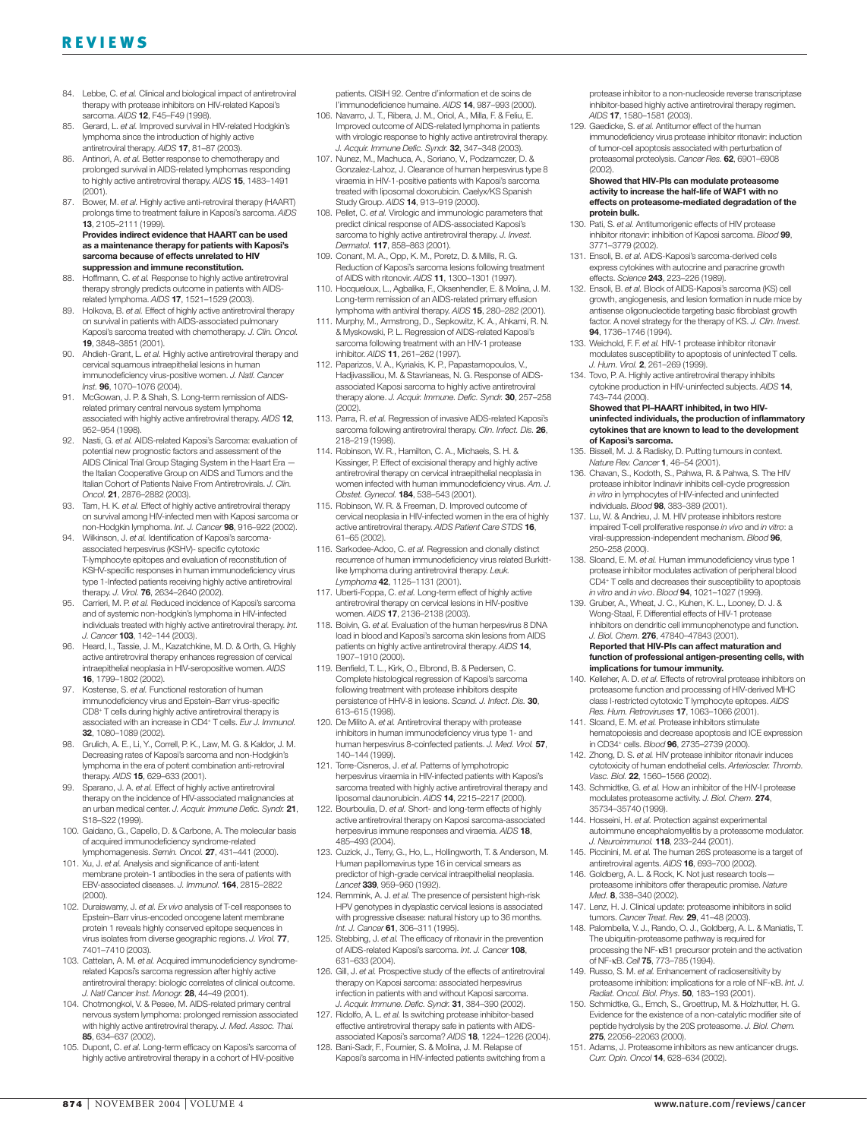# REVIEWS

- 84. Lebbe, C. *et al.* Clinical and biological impact of antiretroviral therapy with protease inhibitors on HIV-related Kaposi's sarcoma. *AIDS* **12**, F45–F49 (1998).
- 85. Gerard, L. *et al.* Improved survival in HIV-related Hodgkin's lymphoma since the introduction of highly active antiretroviral therapy. *AIDS* **17**, 81–87 (2003).
- 86. Antinori, A. *et al.* Better response to chemotherapy and prolonged survival in AIDS-related lymphomas responding to highly active antiretroviral therapy. *AIDS* **15**, 1483–1491 (2001).
- 87. Bower, M. *et al.* Highly active anti-retroviral therapy (HAART) prolongs time to treatment failure in Kaposi's sarcoma. *AIDS* **13**, 2105–2111 (1999). **Provides indirect evidence that HAART can be used**

## **as a maintenance therapy for patients with Kaposi's sarcoma because of effects unrelated to HIV suppression and immune reconstitution.**

- 88. Hoffmann, C. *et al.* Response to highly active antiretroviral therapy strongly predicts outcome in patients with AIDSrelated lymphoma. *AIDS* **17**, 1521–1529 (2003).
- 89. Holkova, B. *et al.* Effect of highly active antiretroviral therapy on survival in patients with AIDS-associated pulmonary Kaposi's sarcoma treated with chemotherapy. *J. Clin. Oncol.* **19**, 3848–3851 (2001).
- 90. Ahdieh-Grant, L. *et al.* Highly active antiretroviral therapy and cervical squamous intraepithelial lesions in human immunodeficiency virus-positive women. *J. Natl. Cancer Inst.* **96**, 1070–1076 (2004).
- 91. McGowan, J. P. & Shah, S. Long-term remission of AIDSrelated primary central nervous system lymphoma associated with highly active antiretroviral therapy. *AIDS* **12**, 952–954 (1998).
- 92. Nasti, G. *et al.* AIDS-related Kaposi's Sarcoma: evaluation of potential new prognostic factors and assessment of the AIDS Clinical Trial Group Staging System in the Haart Era the Italian Cooperative Group on AIDS and Tumors and the Italian Cohort of Patients Naive From Antiretrovirals. *J. Clin. Oncol.* **21**, 2876–2882 (2003).
- 93. Tam, H. K. *et al.* Fffect of highly active antiretroviral therapy on survival among HIV-infected men with Kaposi sarcoma or non-Hodgkin lymphoma. *Int. J. Cancer* **98**, 916–922 (2002).
- Wilkinson, J. et al. Identification of Kaposi's sarcomaassociated herpesvirus (KSHV)- specific cytotoxic T-lymphocyte epitopes and evaluation of reconstitution of KSHV-specific responses in human immunodeficiency virus type 1-Infected patients receiving highly active antiretroviral therapy. *J. Virol.* **76**, 2634–2640 (2002).
- 95. Carrieri, M. P. *et al.* Reduced incidence of Kaposi's sarcoma and of systemic non-hodgkin's lymphoma in HIV-infected individuals treated with highly active antiretroviral therapy. *Int. J. Cancer* **103**, 142–144 (2003).
- 96. Heard, I., Tassie, J. M., Kazatchkine, M. D. & Orth, G. Highly active antiretroviral therapy enhances regression of cervical intraepithelial neoplasia in HIV-seropositive women. *AIDS* **16**, 1799–1802 (2002).
- 97. Kostense, S. et al. Functional restoration of human immunodeficiency virus and Epstein–Barr virus-specific CD8+ T cells during highly active antiretroviral therapy is associated with an increase in CD4+ T cells. *Eur J. Immunol.* **32**, 1080–1089 (2002).
- 98. Grulich, A. E., Li, Y., Correll, P. K., Law, M. G. & Kaldor, J. M. Decreasing rates of Kaposi's sarcoma and non-Hodgkin's lymphoma in the era of potent combination anti-retroviral therapy. *AIDS* **15**, 629–633 (2001).
- 99. Sparano, J. A. et al. Effect of highly active antiretroviral therapy on the incidence of HIV-associated malignancies at an urban medical center. *J. Acquir. Immune Defic. Syndr.* **21**, S18–S22 (1999).
- 100. Gaidano, G., Capello, D. & Carbone, A. The molecular basis of acquired immunodeficiency syndrome-related lymphomagenesis. *Semin. Oncol.* **27**, 431–441 (2000).
- 101. Xu, J. *et al.* Analysis and significance of anti-latent membrane protein-1 antibodies in the sera of patients with EBV-associated diseases. *J. Immunol.* **164**, 2815–2822 (2000).
- 102. Duraiswamy, J. *et al. Ex vivo* analysis of T-cell responses to Epstein–Barr virus-encoded oncogene latent membrane protein 1 reveals highly conserved epitope sequences in virus isolates from diverse geographic regions. *J. Virol.* **77**, 7401–7410 (2003).
- 103. Cattelan, A. M. *et al.* Acquired immunodeficiency syndromerelated Kaposi's sarcoma regression after highly active antiretroviral therapy: biologic correlates of clinical outcome. *J. Natl Cancer Inst. Monogr.* **28**, 44–49 (2001).
- 104. Chotmongkol, V. & Pesee, M. AIDS-related primary central nervous system lymphoma: prolonged remission associated with highly active antiretroviral therapy. *J. Med. Assoc. Thai.* **85**, 634–637 (2002).
- 105. Dupont, C. *et al.* Long-term efficacy on Kaposi's sarcoma of highly active antiretroviral therapy in a cohort of HIV-positive

patients. CISIH 92. Centre d'information et de soins de l'immunodeficience humaine. *AIDS* **14**, 987–993 (2000).

- 106. Navarro, J. T., Ribera, J. M., Oriol, A., Milla, F. & Feliu, E. Improved outcome of AIDS-related lymphoma in patients with virologic response to highly active antiretroviral therapy. *J. Acquir. Immune Defic. Syndr.* **32**, 347–348 (2003).
- 107. Nunez, M., Machuca, A., Soriano, V., Podzamczer, D. & Gonzalez-Lahoz, J. Clearance of human herpesvirus type 8 viraemia in HIV-1-positive patients with Kaposi's sarcoma treated with liposomal doxorubicin. Caelyx/KS Spanish Study Group. *AIDS* **14**, 913–919 (2000).
- 108. Pellet, C. *et al.* Virologic and immunologic parameters that predict clinical response of AIDS-associated Kaposi's sarcoma to highly active antiretroviral therapy. *J. Invest. Dermatol.* **117**, 858–863 (2001).
- 109. Conant, M. A., Opp, K. M., Poretz, D. & Mills, R. G. Reduction of Kaposi's sarcoma lesions following treatment of AIDS with ritonovir. *AIDS* **11**, 1300–1301 (1997).
- 110. Hocqueloux, L., Agbalika, F., Oksenhendler, E. & Molina, J. M. Long-term remission of an AIDS-related primary effusion lymphoma with antiviral therapy. *AIDS* **15**, 280–282 (2001).
- 111. Murphy, M., Armstrong, D., Sepkowitz, K. A., Ahkami, R. N. & Myskowski, P. L. Regression of AIDS-related Kaposi's sarcoma following treatment with an HIV-1 protease inhibitor. *AIDS* **11**, 261–262 (1997).
- 112. Paparizos, V. A., Kyriakis, K. P., Papastamopoulos, V., Hadjivassiliou, M. & Stavrianeas, N. G. Response of AIDSassociated Kaposi sarcoma to highly active antiretroviral therapy alone. *J. Acquir. Immune. Defic. Syndr.* **30**, 257–258 (2002).
- 113. Parra, R. *et al.* Regression of invasive AIDS-related Kaposi's sarcoma following antiretroviral therapy. *Clin. Infect. Dis.* **26**, 218–219 (1998).
- 114. Robinson, W. R., Hamilton, C. A., Michaels, S. H. & Kissinger, P. Effect of excisional therapy and highly active antiretroviral therapy on cervical intraepithelial neoplasia in women infected with human immunodeficiency virus. *Am. J. Obstet. Gynecol.* **184**, 538–543 (2001).
- 115. Robinson, W. R. & Freeman, D. Improved outcome of cervical neoplasia in HIV-infected women in the era of highly active antiretroviral therapy. *AIDS Patient Care STDS* **16**, 61–65 (2002).
- 116. Sarkodee-Adoo, C. *et al.* Regression and clonally distinct recurrence of human immunodeficiency virus related Burkittlike lymphoma during antiretroviral therapy. *Leuk. Lymphoma* **42**, 1125–1131 (2001).
- 117. Uberti-Foppa, C. *et al.* Long-term effect of highly active antiretroviral therapy on cervical lesions in HIV-positive women. *AIDS* **17**, 2136–2138 (2003).
- 118. Boivin, G. *et al.* Evaluation of the human herpesvirus 8 DNA load in blood and Kaposi's sarcoma skin lesions from AIDS patients on highly active antiretroviral therapy. *AIDS* **14**, 1907–1910 (2000).
- 119. Benfield, T. L., Kirk, O., Elbrond, B. & Pedersen, C. Complete histological regression of Kaposi's sarcoma following treatment with protease inhibitors despite persistence of HHV-8 in lesions. *Scand. J. Infect. Dis.* **30**, 613–615 (1998).
- 120. De Milito A. *et al.* Antiretroviral therapy with protease inhibitors in human immunodeficiency virus type 1- and human herpesvirus 8-coinfected patients. *J. Med. Virol.* **57**, 140–144 (1999).
- 121. Torre-Cisneros, J. *et al.* Patterns of lymphotropic herpesvirus viraemia in HIV-infected patients with Kaposi's sarcoma treated with highly active antiretroviral therapy and liposomal daunorubicin. *AIDS* **14**, 2215–2217 (2000).
- 122. Bourboulia, D. *et al.* Short- and long-term effects of highly active antiretroviral therapy on Kaposi sarcoma-associated herpesvirus immune responses and viraemia. *AIDS* **18**, 485–493 (2004).
- 123. Cuzick, J., Terry, G., Ho, L., Hollingworth, T. & Anderson, M. Human papillomavirus type 16 in cervical smears as predictor of high-grade cervical intraepithelial neoplasia. *Lancet* **339**, 959–960 (1992).
- 124. Remmink, A. J. *et al.* The presence of persistent high-risk HPV genotypes in dysplastic cervical lesions is associated with progressive disease: natural history up to 36 months. *Int. J. Cancer* **61**, 306–311 (1995).
- 125. Stebbing, J. *et al.* The efficacy of ritonavir in the prevention of AIDS-related Kaposi's sarcoma. *Int. J. Cancer* **108**, 631–633 (2004).
- 126. Gill, J. *et al.* Prospective study of the effects of antiretroviral therapy on Kaposi sarcoma: associated herpesvirus infection in patients with and without Kaposi sarcoma. *J. Acquir. Immune. Defic. Syndr.* **31**, 384–390 (2002).
- 127. Ridolfo, A. L. *et al.* Is switching protease inhibitor-based effective antiretroviral therapy safe in patients with AIDSassociated Kaposi's sarcoma? *AIDS* **18**, 1224–1226 (2004).
- 128. Bani-Sadr, F., Fournier, S. & Molina, J. M. Relapse of Kaposi's sarcoma in HIV-infected patients switching from a

protease inhibitor to a non-nucleoside reverse transcriptase inhibitor-based highly active antiretroviral therapy regimen. *AIDS* **17**, 1580–1581 (2003).

129. Gaedicke, S. *et al.* Antitumor effect of the human immunodeficiency virus protease inhibitor ritonavir: induction of tumor-cell apoptosis associated with perturbation of proteasomal proteolysis. *Cancer Res.* **62**, 6901–6908 (2002).

**Showed that HIV-PIs can modulate proteasome activity to increase the half-life of WAF1 with no effects on proteasome-mediated degradation of the protein bulk.**

- 130. Pati, S. *et al.* Antitumorigenic effects of HIV protease inhibitor ritonavir: inhibition of Kaposi sarcoma. *Blood* **99**, 3771–3779 (2002).
- 131. Ensoli, B. *et al.* AIDS-Kaposi's sarcoma-derived cells express cytokines with autocrine and paracrine growth effects. *Science* **243**, 223–226 (1989).
- 132. Ensoli, B. *et al.* Block of AIDS-Kaposi's sarcoma (KS) cell growth, angiogenesis, and lesion formation in nude mice by antisense oligonucleotide targeting basic fibroblast growth factor. A novel strategy for the therapy of KS. *J. Clin. Invest.* **94**, 1736–1746 (1994).
- 133. Weichold, F. F. *et al.* HIV-1 protease inhibitor ritonavir modulates susceptibility to apoptosis of uninfected T cells. *J. Hum. Virol.* **2**, 261–269 (1999).
- 134. Tovo, P. A. Highly active antiretroviral therapy inhibits cytokine production in HIV-uninfected subjects. *AIDS* **14**, 743–744 (2000).

#### **Showed that PI–HAART inhibited, in two HIVuninfected individuals, the production of inflammatory cytokines that are known to lead to the development of Kaposi's sarcoma.**

- 135. Bissell, M. J. & Radisky, D. Putting tumours in context. *Nature Rev. Cancer* **1**, 46–54 (2001).
- 136. Chavan, S., Kodoth, S., Pahwa, R. & Pahwa, S. The HIV protease inhibitor Indinavir inhibits cell-cycle progression *in vitro* in lymphocytes of HIV-infected and uninfected individuals. *Blood* **98**, 383–389 (2001).
- 137. Lu, W. & Andrieu, J. M. HIV protease inhibitors restore impaired T-cell proliferative response *in vivo* and *in vitro*: a viral-suppression-independent mechanism. *Blood* **96**, 250–258 (2000).
- 138. Sloand, E. M. *et al.* Human immunodeficiency virus type 1 protease inhibitor modulates activation of peripheral blood CD4+ T cells and decreases their susceptibility to apoptosis *in vitro* and *in vivo*. *Blood* **94**, 1021–1027 (1999).
- 139. Gruber, A., Wheat, J. C., Kuhen, K. L., Looney, D. J. & Wong-Staal, F. Differential effects of HIV-1 protease inhibitors on dendritic cell immunophenotype and function. *J. Biol. Chem.* **276**, 47840–47843 (2001). **Reported that HIV-PIs can affect maturation and function of professional antigen-presenting cells, with**

#### **implications for tumour immunity.** 140. Kelleher, A. D. *et al.* Effects of retroviral protease inhibitors on

- proteasome function and processing of HIV-derived MHC class I-restricted cytotoxic T lymphocyte epitopes. *AIDS Res. Hum. Retroviruses* **17**, 1063–1066 (2001).
- 141. Sloand, E. M. *et al.* Protease inhibitors stimulate hematopoiesis and decrease apoptosis and ICE expression in CD34+ cells. *Blood* **96**, 2735–2739 (2000).
- 142. Zhong, D. S. *et al.* HIV protease inhibitor ritonavir induces cytotoxicity of human endothelial cells. *Arterioscler. Thromb. Vasc. Biol.* **22**, 1560–1566 (2002).
- 143. Schmidtke, G. *et al.* How an inhibitor of the HIV-I protease modulates proteasome activity. *J. Biol. Chem.* **274**, 35734–35740 (1999).
- 144. Hosseini, H. *et al.* Protection against experimental autoimmune encephalomyelitis by a proteasome modulator. *J. Neuroimmunol.* **118**, 233–244 (2001).
- 145. Piccinini, M. *et al.* The human 26S proteasome is a target of antiretroviral agents. *AIDS* **16**, 693–700 (2002).
- 146. Goldberg, A. L. & Rock, K. Not just research tools proteasome inhibitors offer therapeutic promise. *Nature Med.* **8**, 338–340 (2002).
- 147. Lenz, H. J. Clinical update: proteasome inhibitors in solid tumors. *Cancer Treat. Rev.* **29**, 41–48 (2003).
- 148. Palombella, V. J., Rando, O. J., Goldberg, A. L. & Maniatis, T. The ubiquitin-proteasome pathway is required for processing the NF-κB1 precursor protein and the activation of NF-κB. *Cell* **75**, 773–785 (1994).
- 149. Russo, S. M. *et al.* Enhancement of radiosensitivity by proteasome inhibition: implications for a role of NF-κB. *Int. J. Radiat. Oncol. Biol. Phys.* **50**, 183–193 (2001).
- 150. Schmidtke, G., Emch, S., Groettrup, M. & Holzhutter, H. G. Evidence for the existence of a non-catalytic modifier site of peptide hydrolysis by the 20S proteasome. *J. Biol. Chem.* **275**, 22056–22063 (2000).
- 151. Adams, J. Proteasome inhibitors as new anticancer drugs. *Curr. Opin. Oncol* **14**, 628–634 (2002).